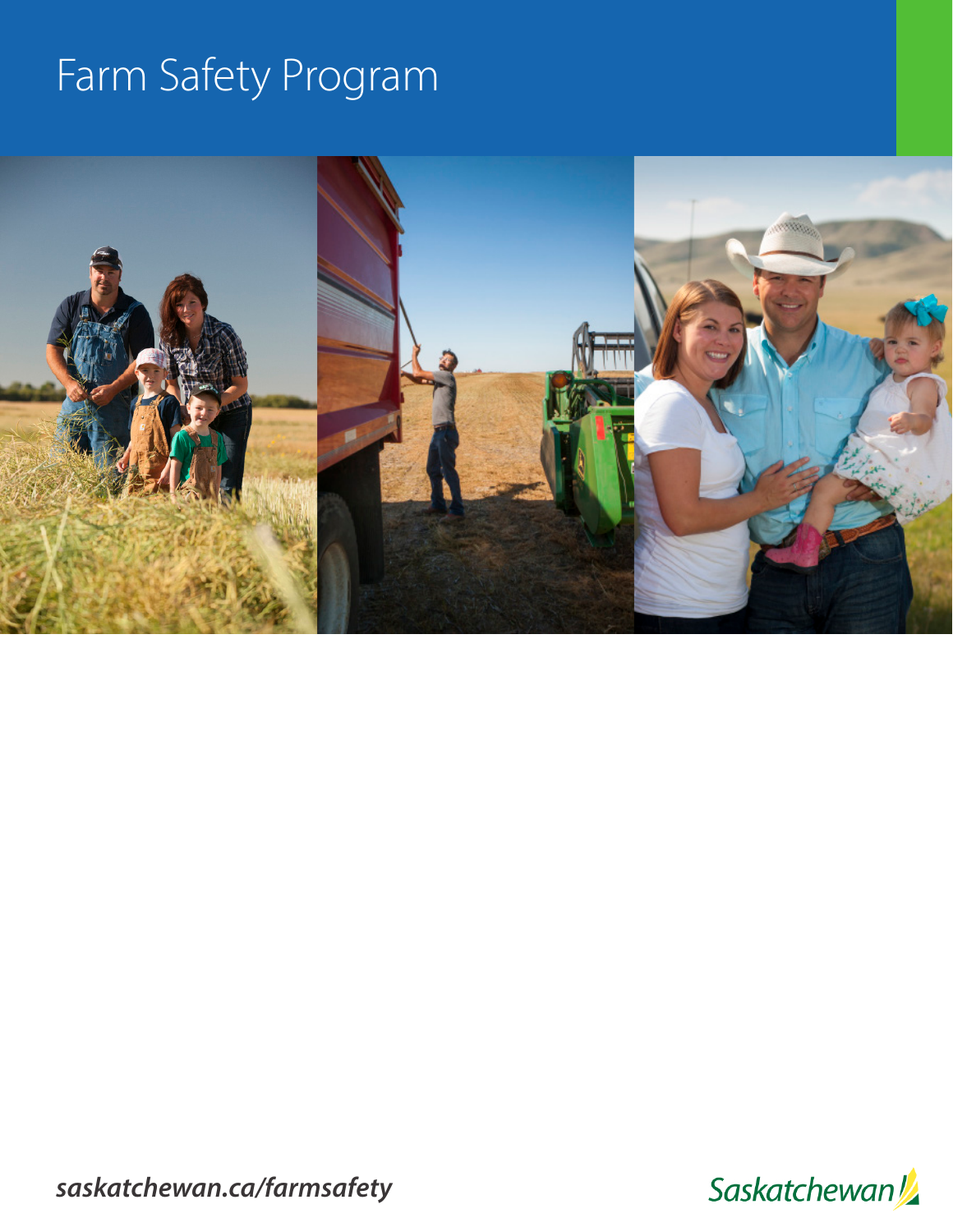# Farm Safety Program



*saskatchewan.ca/farmsafety*

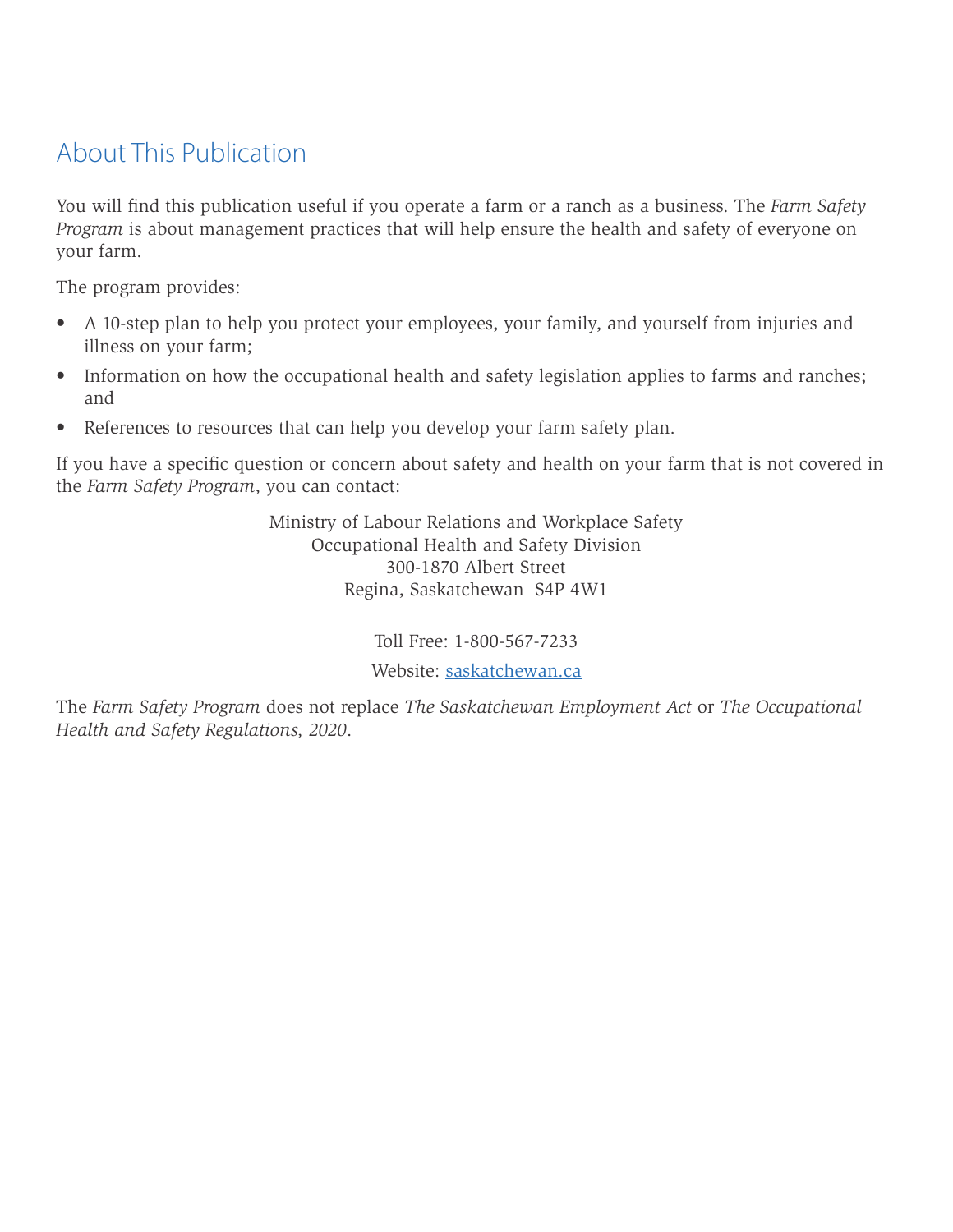# <span id="page-1-0"></span>About This Publication

You will find this publication useful if you operate a farm or a ranch as a business. The *Farm Safety Program* is about management practices that will help ensure the health and safety of everyone on your farm.

The program provides:

- A 10-step plan to help you protect your employees, your family, and yourself from injuries and illness on your farm;
- Information on how the occupational health and safety legislation applies to farms and ranches; and
- References to resources that can help you develop your farm safety plan.

If you have a specific question or concern about safety and health on your farm that is not covered in the *Farm Safety Program*, you can contact:

> Ministry of Labour Relations and Workplace Safety Occupational Health and Safety Division 300-1870 Albert Street Regina, Saskatchewan S4P 4W1

> > Toll Free: 1-800-567-7233

Website: [saskatchewan.ca](http://www.saskatchewan.ca)

The *Farm Safety Program* does not replace *The Saskatchewan Employment Act* or *The Occupational Health and Safety Regulations, 2020*.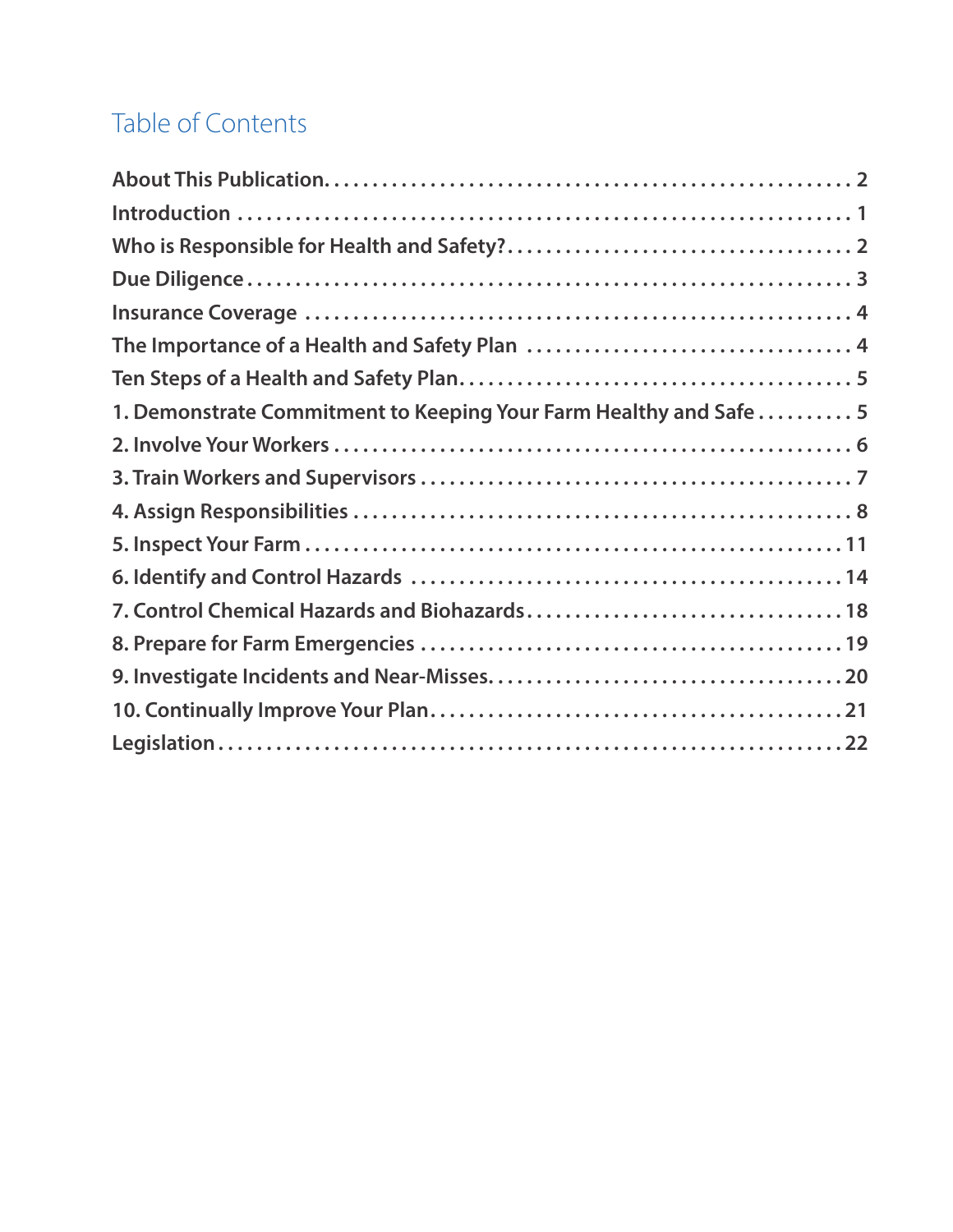# Table of Contents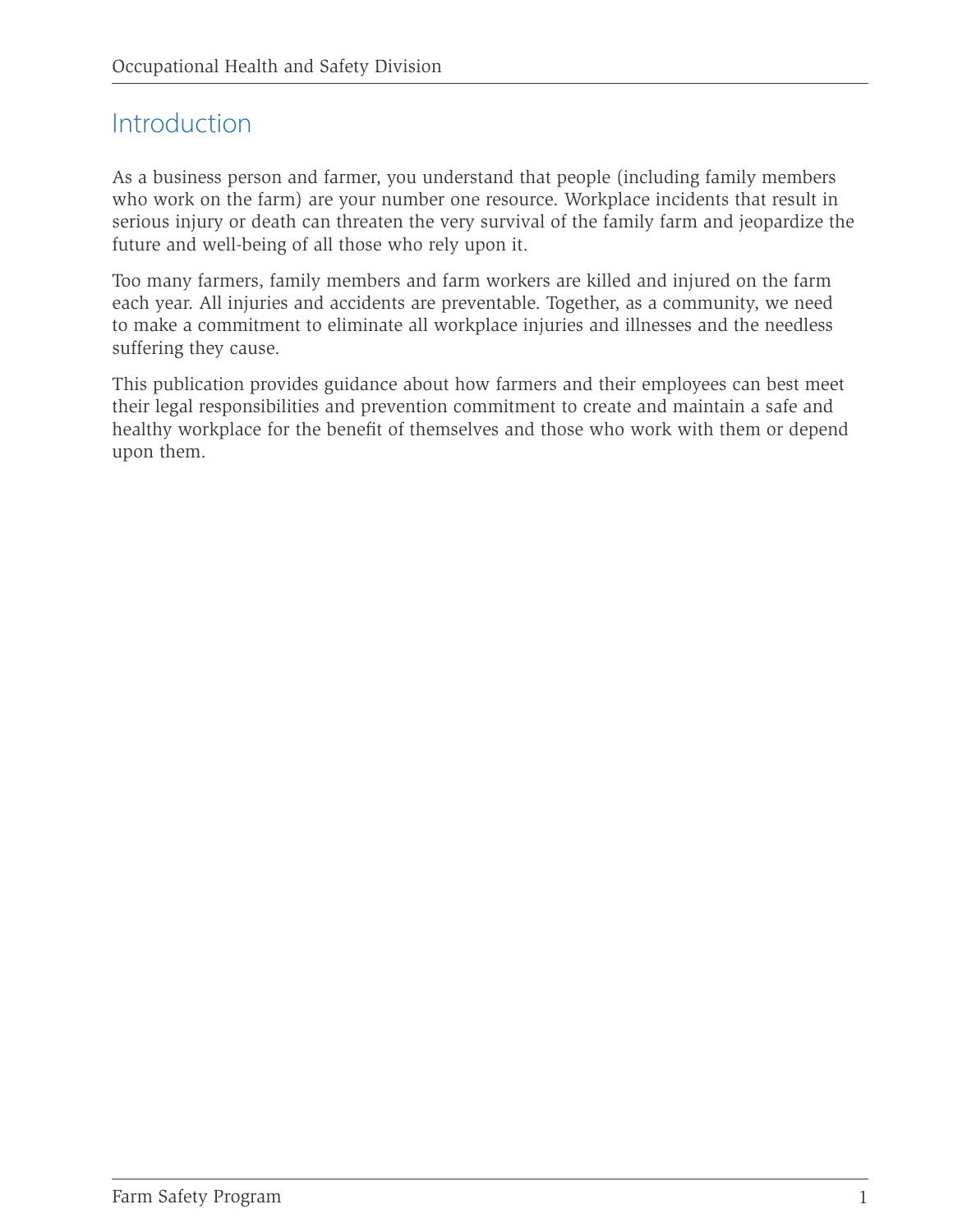## <span id="page-4-0"></span>Introduction

As a business person and farmer, you understand that people (including family members who work on the farm) are your number one resource. Workplace incidents that result in serious injury or death can threaten the very survival of the family farm and jeopardize the future and well-being of all those who rely upon it.

Too many farmers, family members and farm workers are killed and injured on the farm each year. All injuries and accidents are preventable. Together, as a community, we need to make a commitment to eliminate all workplace injuries and illnesses and the needless suffering they cause.

This publication provides guidance about how farmers and their employees can best meet their legal responsibilities and prevention commitment to create and maintain a safe and healthy workplace for the benefit of themselves and those who work with them or depend upon them.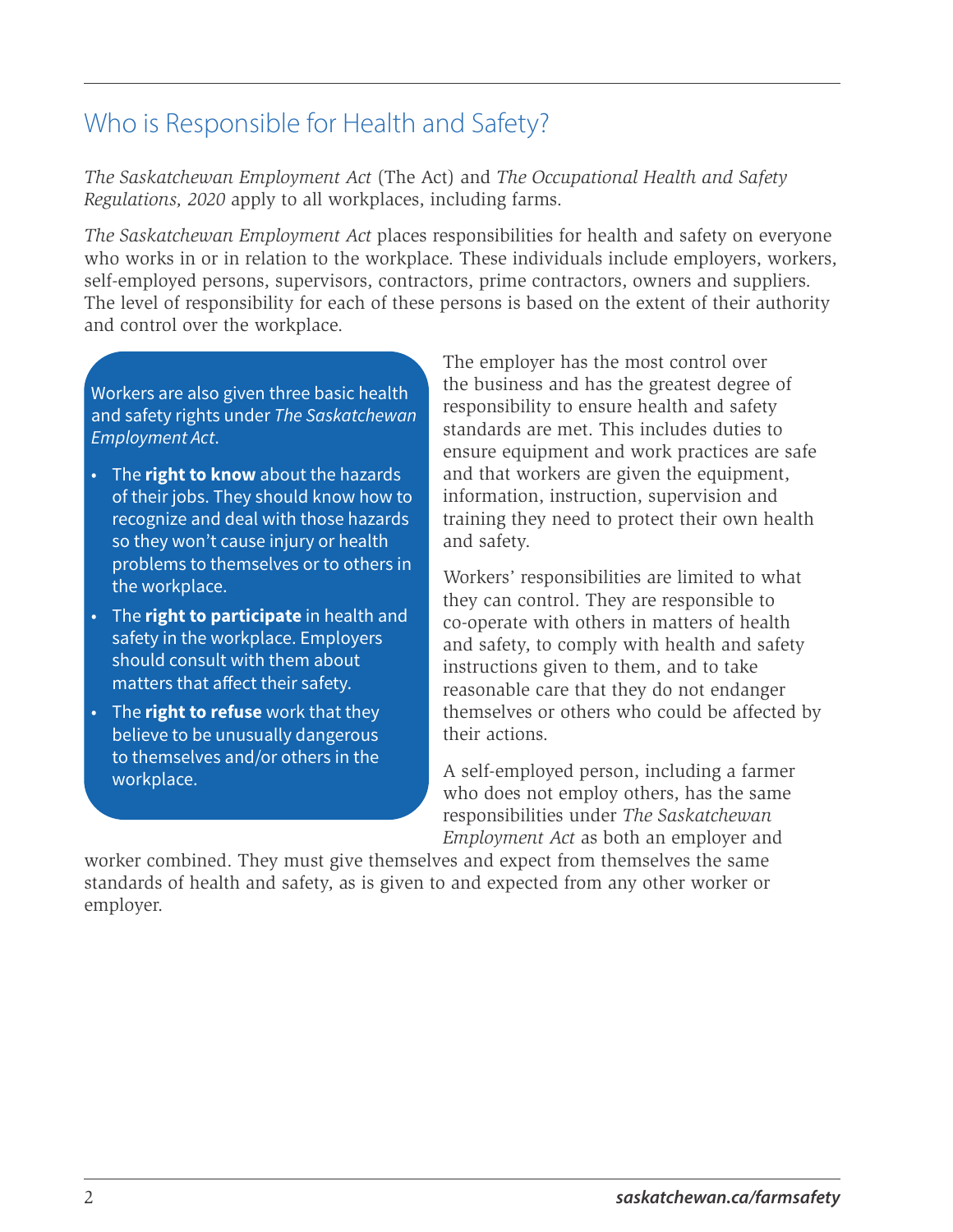# <span id="page-5-0"></span>Who is Responsible for Health and Safety?

*The Saskatchewan Employment Act* (The Act) and *The Occupational Health and Safety Regulations, 2020* apply to all workplaces, including farms.

*The Saskatchewan Employment Act* places responsibilities for health and safety on everyone who works in or in relation to the workplace. These individuals include employers, workers, self-employed persons, supervisors, contractors, prime contractors, owners and suppliers. The level of responsibility for each of these persons is based on the extent of their authority and control over the workplace.

Workers are also given three basic health and safety rights under *The Saskatchewan Employment Act*.

- The **right to know** about the hazards of their jobs. They should know how to recognize and deal with those hazards so they won't cause injury or health problems to themselves or to others in the workplace.
- The **right to participate** in health and safety in the workplace. Employers should consult with them about matters that affect their safety.
- The **right to refuse** work that they believe to be unusually dangerous to themselves and/or others in the workplace.

The employer has the most control over the business and has the greatest degree of responsibility to ensure health and safety standards are met. This includes duties to ensure equipment and work practices are safe and that workers are given the equipment, information, instruction, supervision and training they need to protect their own health and safety.

Workers' responsibilities are limited to what they can control. They are responsible to co-operate with others in matters of health and safety, to comply with health and safety instructions given to them, and to take reasonable care that they do not endanger themselves or others who could be affected by their actions.

A self-employed person, including a farmer who does not employ others, has the same responsibilities under *The Saskatchewan Employment Act* as both an employer and

worker combined. They must give themselves and expect from themselves the same standards of health and safety, as is given to and expected from any other worker or employer.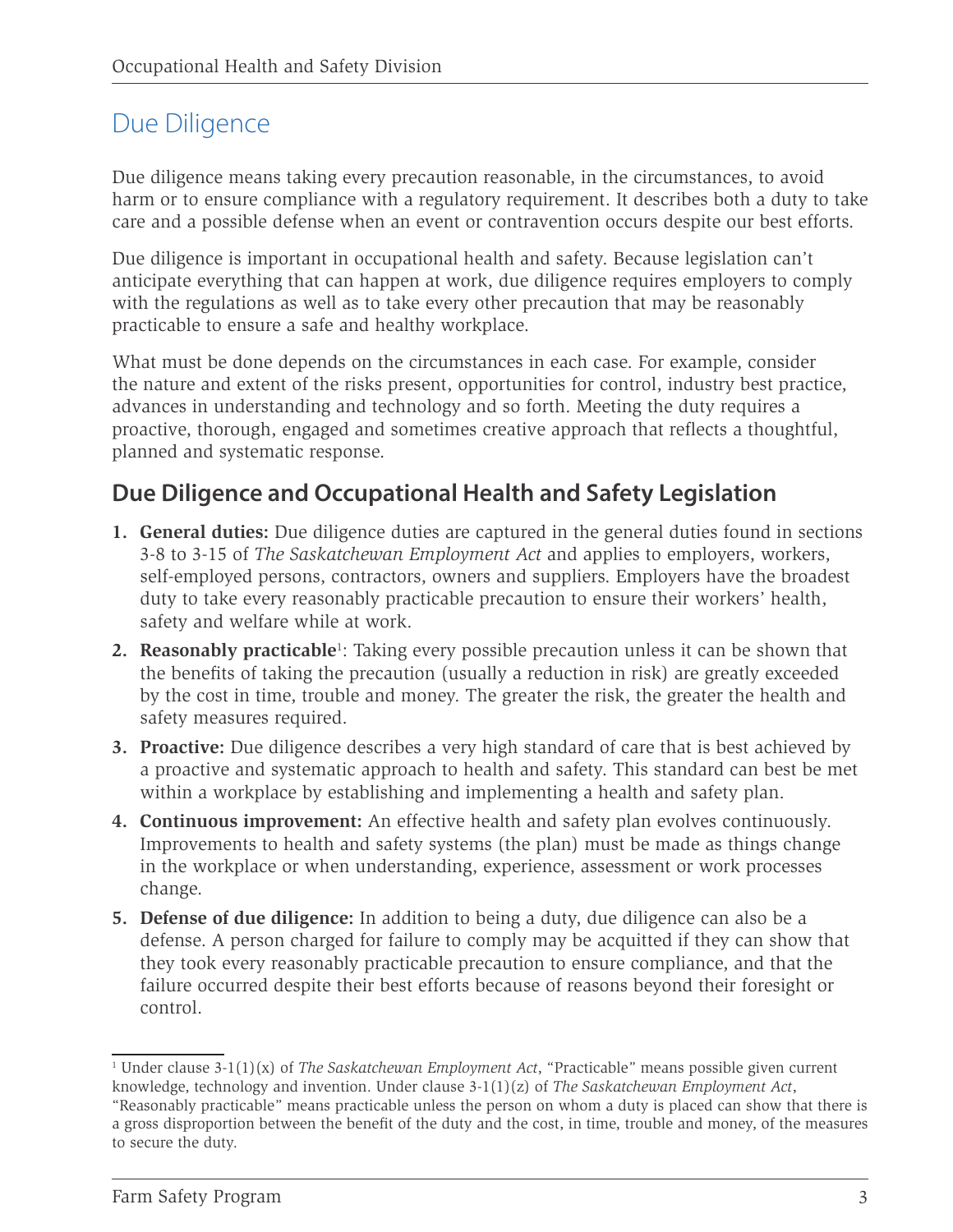# <span id="page-6-0"></span>Due Diligence

Due diligence means taking every precaution reasonable, in the circumstances, to avoid harm or to ensure compliance with a regulatory requirement. It describes both a duty to take care and a possible defense when an event or contravention occurs despite our best efforts.

Due diligence is important in occupational health and safety. Because legislation can't anticipate everything that can happen at work, due diligence requires employers to comply with the regulations as well as to take every other precaution that may be reasonably practicable to ensure a safe and healthy workplace.

What must be done depends on the circumstances in each case. For example, consider the nature and extent of the risks present, opportunities for control, industry best practice, advances in understanding and technology and so forth. Meeting the duty requires a proactive, thorough, engaged and sometimes creative approach that reflects a thoughtful, planned and systematic response.

#### **Due Diligence and Occupational Health and Safety Legislation**

- **1. General duties:** Due diligence duties are captured in the general duties found in sections 3-8 to 3-15 of *The Saskatchewan Employment Act* and applies to employers, workers, self-employed persons, contractors, owners and suppliers. Employers have the broadest duty to take every reasonably practicable precaution to ensure their workers' health, safety and welfare while at work.
- **2. Reasonably practicable**<sup>1</sup>: Taking every possible precaution unless it can be shown that the benefits of taking the precaution (usually a reduction in risk) are greatly exceeded by the cost in time, trouble and money. The greater the risk, the greater the health and safety measures required.
- **3. Proactive:** Due diligence describes a very high standard of care that is best achieved by a proactive and systematic approach to health and safety. This standard can best be met within a workplace by establishing and implementing a health and safety plan.
- **4. Continuous improvement:** An effective health and safety plan evolves continuously. Improvements to health and safety systems (the plan) must be made as things change in the workplace or when understanding, experience, assessment or work processes change.
- **5. Defense of due diligence:** In addition to being a duty, due diligence can also be a defense. A person charged for failure to comply may be acquitted if they can show that they took every reasonably practicable precaution to ensure compliance, and that the failure occurred despite their best efforts because of reasons beyond their foresight or control.

<sup>1</sup> Under clause 3-1(1)(x) of *The Saskatchewan Employment Act*, "Practicable" means possible given current knowledge, technology and invention. Under clause 3-1(1)(z) of *The Saskatchewan Employment Act*, "Reasonably practicable" means practicable unless the person on whom a duty is placed can show that there is a gross disproportion between the benefit of the duty and the cost, in time, trouble and money, of the measures to secure the duty.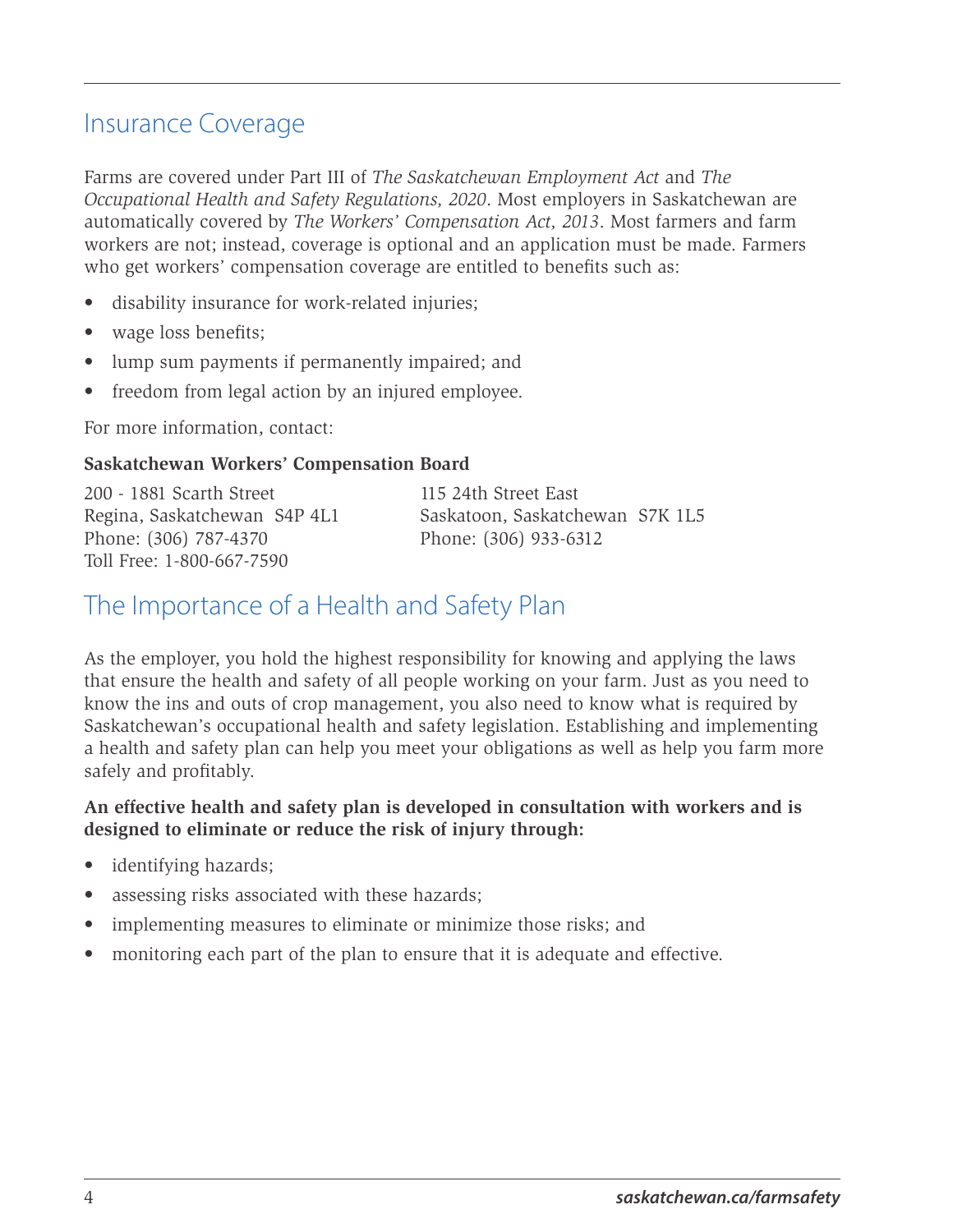## <span id="page-7-0"></span>Insurance Coverage

Farms are covered under Part III of *The Saskatchewan Employment Act* and *The Occupational Health and Safety Regulations, 2020*. Most employers in Saskatchewan are automatically covered by *The Workers' Compensation Act, 2013*. Most farmers and farm workers are not; instead, coverage is optional and an application must be made. Farmers who get workers' compensation coverage are entitled to benefits such as:

- disability insurance for work-related injuries;
- wage loss benefits;
- lump sum payments if permanently impaired; and
- freedom from legal action by an injured employee.

For more information, contact:

#### **Saskatchewan Workers' Compensation Board**

200 - 1881 Scarth Street 115 24th Street East Regina, Saskatchewan S4P 4L1 Saskatoon, Saskatchewan S7K 1L5 Phone: (306) 787-4370 Phone: (306) 933-6312 Toll Free: 1-800-667-7590

## The Importance of a Health and Safety Plan

As the employer, you hold the highest responsibility for knowing and applying the laws that ensure the health and safety of all people working on your farm. Just as you need to know the ins and outs of crop management, you also need to know what is required by Saskatchewan's occupational health and safety legislation. Establishing and implementing a health and safety plan can help you meet your obligations as well as help you farm more safely and profitably.

#### **An effective health and safety plan is developed in consultation with workers and is designed to eliminate or reduce the risk of injury through:**

- identifying hazards;
- assessing risks associated with these hazards;
- implementing measures to eliminate or minimize those risks; and
- monitoring each part of the plan to ensure that it is adequate and effective.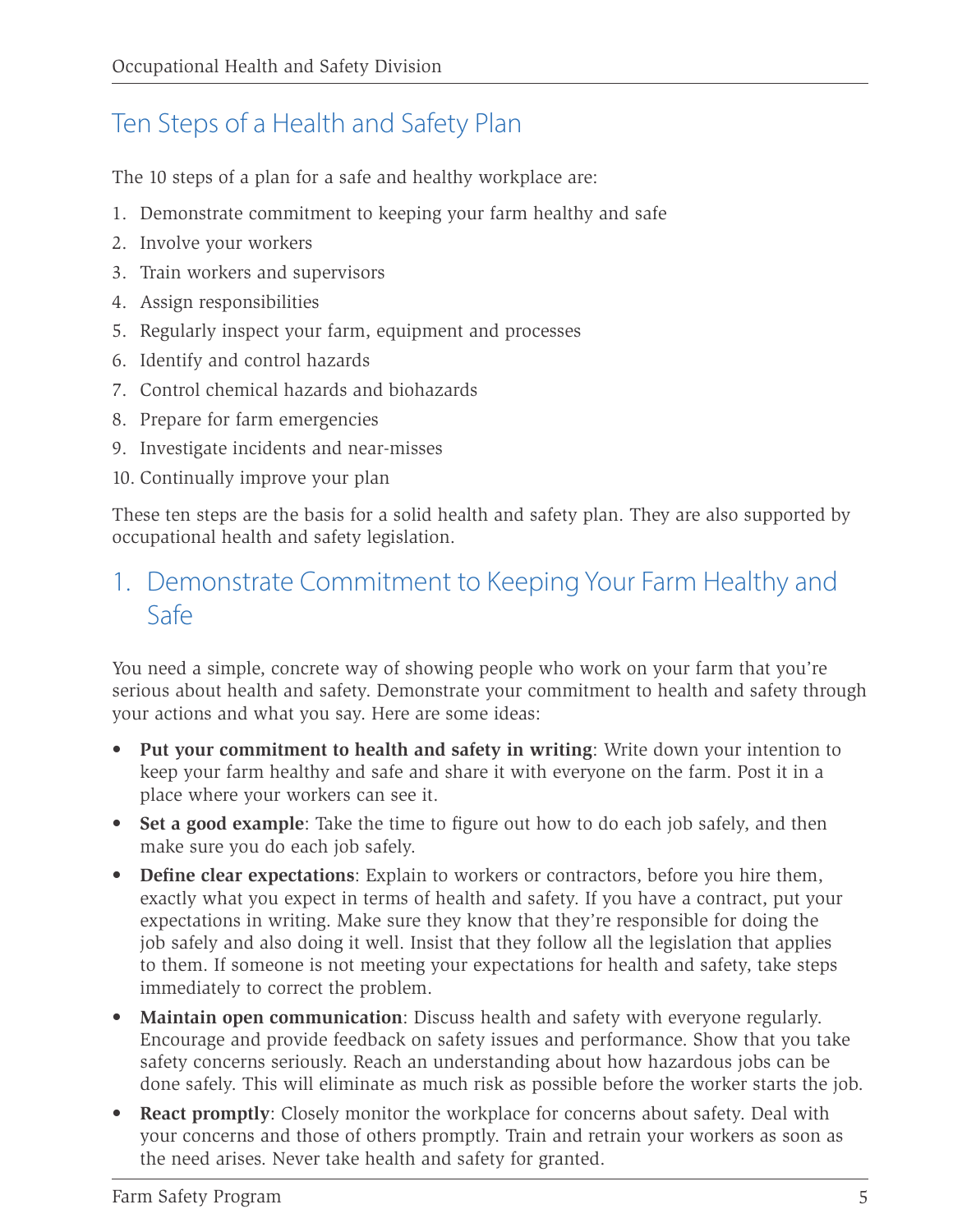# <span id="page-8-0"></span>Ten Steps of a Health and Safety Plan

The 10 steps of a plan for a safe and healthy workplace are:

- 1. Demonstrate commitment to keeping your farm healthy and safe
- 2. Involve your workers
- 3. Train workers and supervisors
- 4. Assign responsibilities
- 5. Regularly inspect your farm, equipment and processes
- 6. Identify and control hazards
- 7. Control chemical hazards and biohazards
- 8. Prepare for farm emergencies
- 9. Investigate incidents and near-misses
- 10. Continually improve your plan

These ten steps are the basis for a solid health and safety plan. They are also supported by occupational health and safety legislation.

# 1. Demonstrate Commitment to Keeping Your Farm Healthy and Safe

You need a simple, concrete way of showing people who work on your farm that you're serious about health and safety. Demonstrate your commitment to health and safety through your actions and what you say. Here are some ideas:

- **• Put your commitment to health and safety in writing**: Write down your intention to keep your farm healthy and safe and share it with everyone on the farm. Post it in a place where your workers can see it.
- **• Set a good example**: Take the time to figure out how to do each job safely, and then make sure you do each job safely.
- **• Define clear expectations**: Explain to workers or contractors, before you hire them, exactly what you expect in terms of health and safety. If you have a contract, put your expectations in writing. Make sure they know that they're responsible for doing the job safely and also doing it well. Insist that they follow all the legislation that applies to them. If someone is not meeting your expectations for health and safety, take steps immediately to correct the problem.
- **• Maintain open communication**: Discuss health and safety with everyone regularly. Encourage and provide feedback on safety issues and performance. Show that you take safety concerns seriously. Reach an understanding about how hazardous jobs can be done safely. This will eliminate as much risk as possible before the worker starts the job.
- **• React promptly**: Closely monitor the workplace for concerns about safety. Deal with your concerns and those of others promptly. Train and retrain your workers as soon as the need arises. Never take health and safety for granted.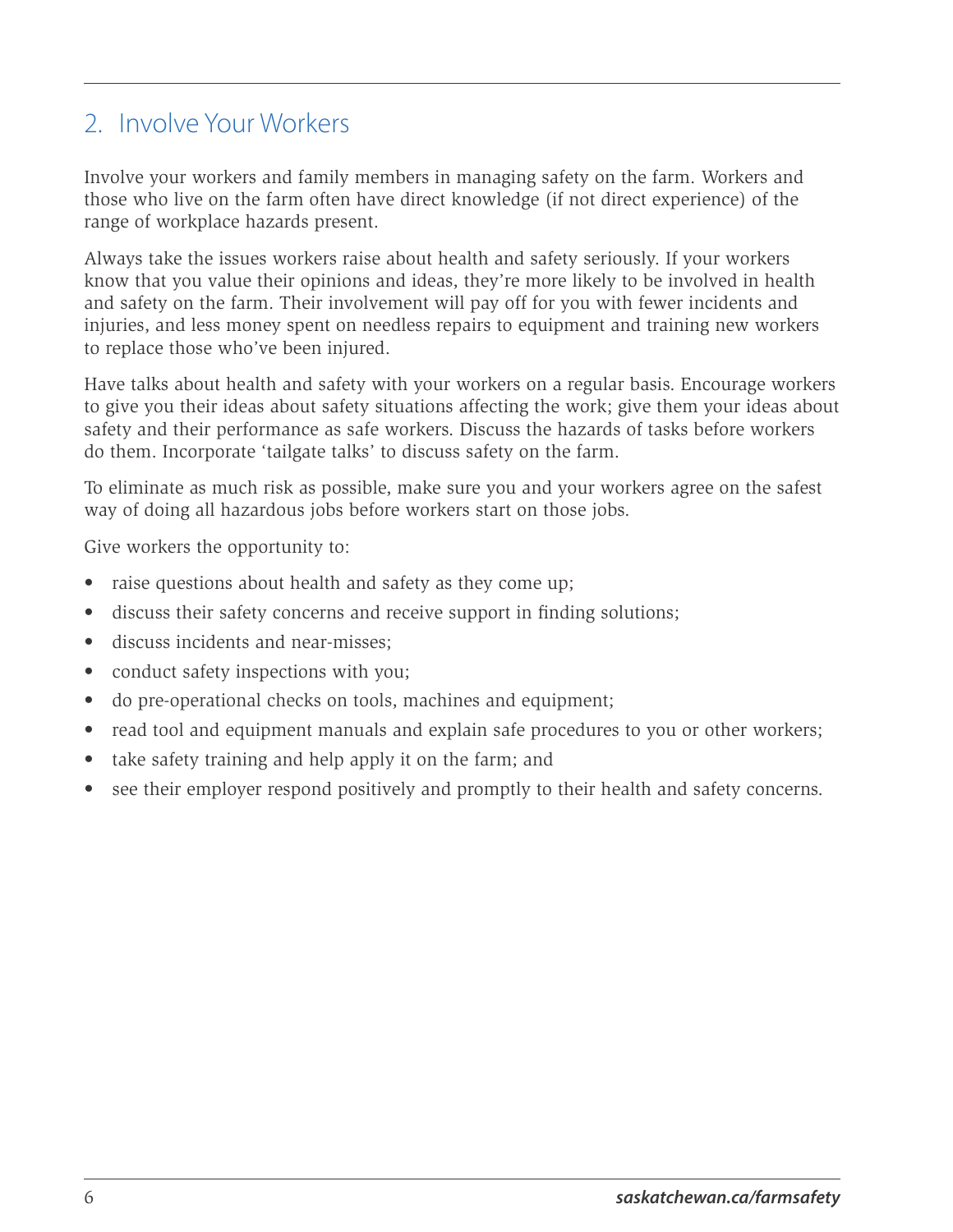## <span id="page-9-0"></span>2. Involve Your Workers

Involve your workers and family members in managing safety on the farm. Workers and those who live on the farm often have direct knowledge (if not direct experience) of the range of workplace hazards present.

Always take the issues workers raise about health and safety seriously. If your workers know that you value their opinions and ideas, they're more likely to be involved in health and safety on the farm. Their involvement will pay off for you with fewer incidents and injuries, and less money spent on needless repairs to equipment and training new workers to replace those who've been injured.

Have talks about health and safety with your workers on a regular basis. Encourage workers to give you their ideas about safety situations affecting the work; give them your ideas about safety and their performance as safe workers. Discuss the hazards of tasks before workers do them. Incorporate 'tailgate talks' to discuss safety on the farm.

To eliminate as much risk as possible, make sure you and your workers agree on the safest way of doing all hazardous jobs before workers start on those jobs.

Give workers the opportunity to:

- raise questions about health and safety as they come up;
- discuss their safety concerns and receive support in finding solutions;
- discuss incidents and near-misses;
- conduct safety inspections with you;
- do pre-operational checks on tools, machines and equipment;
- read tool and equipment manuals and explain safe procedures to you or other workers;
- take safety training and help apply it on the farm; and
- see their employer respond positively and promptly to their health and safety concerns.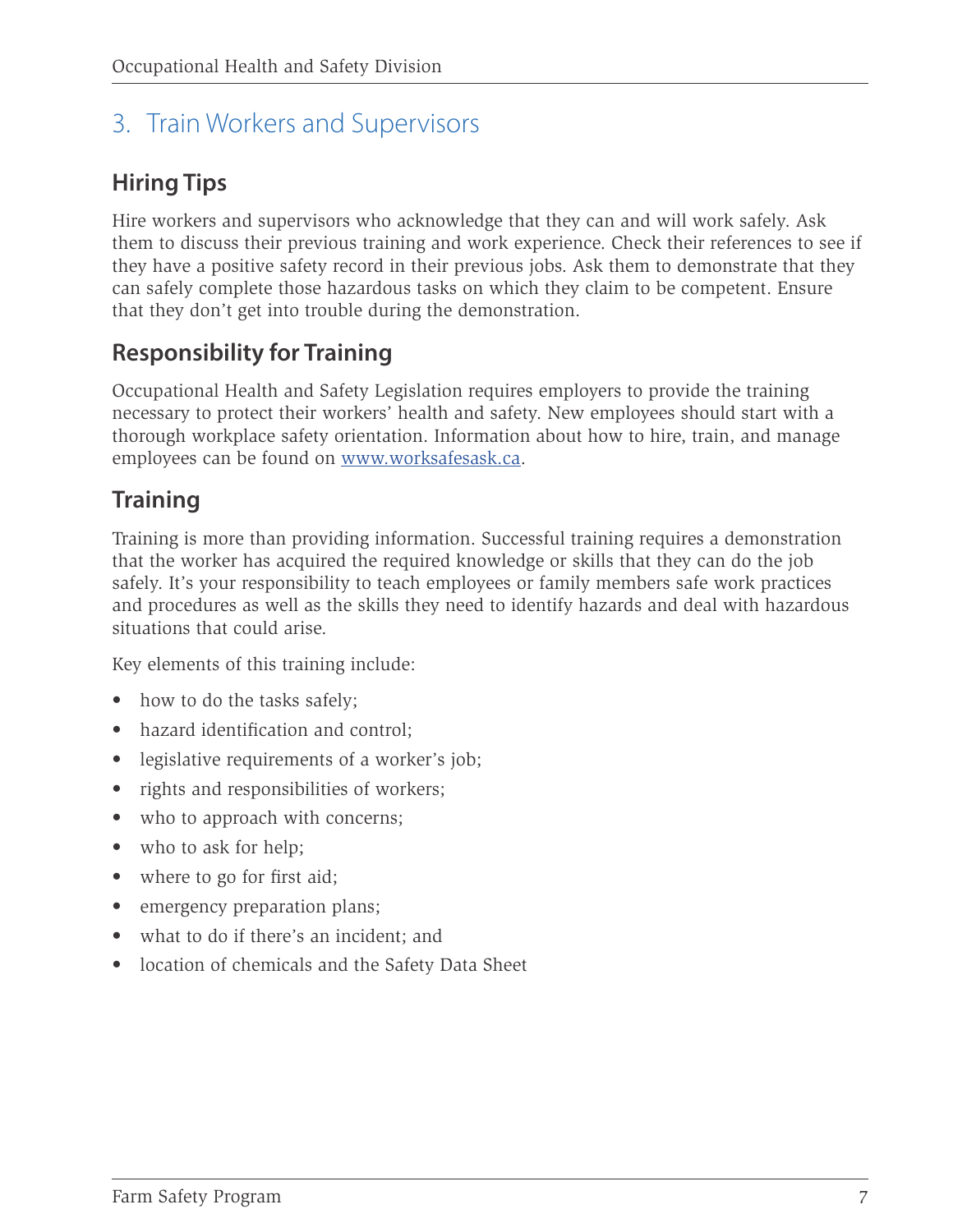# <span id="page-10-0"></span>3. Train Workers and Supervisors

# **Hiring Tips**

Hire workers and supervisors who acknowledge that they can and will work safely. Ask them to discuss their previous training and work experience. Check their references to see if they have a positive safety record in their previous jobs. Ask them to demonstrate that they can safely complete those hazardous tasks on which they claim to be competent. Ensure that they don't get into trouble during the demonstration.

## **Responsibility for Training**

Occupational Health and Safety Legislation requires employers to provide the training necessary to protect their workers' health and safety. New employees should start with a thorough workplace safety orientation. Information about how to hire, train, and manage employees can be found on [www.worksafesask.ca.](https://www.worksafesask.ca/)

# **Training**

Training is more than providing information. Successful training requires a demonstration that the worker has acquired the required knowledge or skills that they can do the job safely. It's your responsibility to teach employees or family members safe work practices and procedures as well as the skills they need to identify hazards and deal with hazardous situations that could arise.

Key elements of this training include:

- how to do the tasks safely;
- hazard identification and control:
- legislative requirements of a worker's job;
- rights and responsibilities of workers;
- who to approach with concerns;
- who to ask for help;
- where to go for first aid;
- emergency preparation plans;
- what to do if there's an incident; and
- location of chemicals and the Safety Data Sheet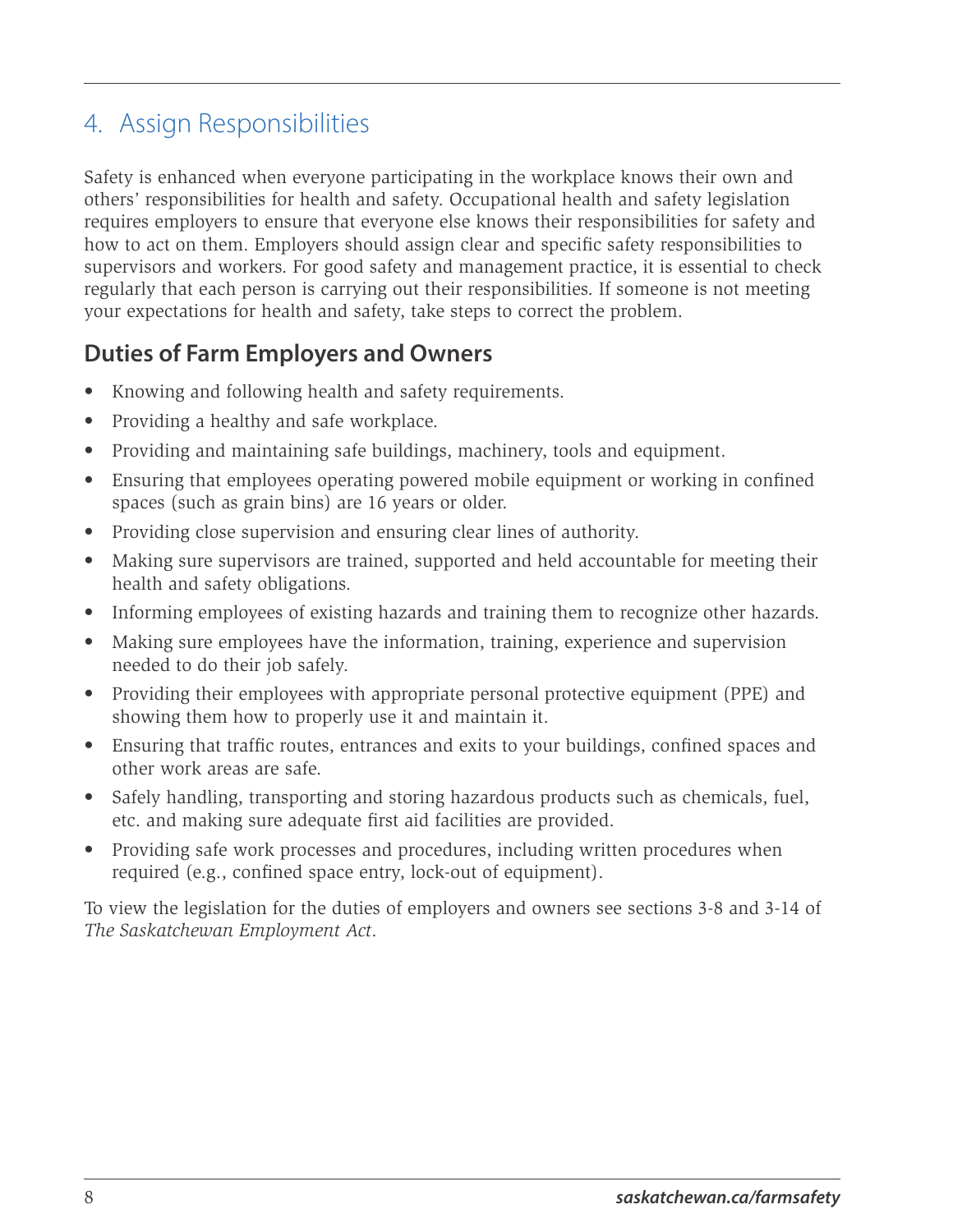# <span id="page-11-0"></span>4. Assign Responsibilities

Safety is enhanced when everyone participating in the workplace knows their own and others' responsibilities for health and safety. Occupational health and safety legislation requires employers to ensure that everyone else knows their responsibilities for safety and how to act on them. Employers should assign clear and specific safety responsibilities to supervisors and workers. For good safety and management practice, it is essential to check regularly that each person is carrying out their responsibilities. If someone is not meeting your expectations for health and safety, take steps to correct the problem.

## **Duties of Farm Employers and Owners**

- Knowing and following health and safety requirements.
- Providing a healthy and safe workplace.
- Providing and maintaining safe buildings, machinery, tools and equipment.
- Ensuring that employees operating powered mobile equipment or working in confined spaces (such as grain bins) are 16 years or older.
- Providing close supervision and ensuring clear lines of authority.
- Making sure supervisors are trained, supported and held accountable for meeting their health and safety obligations.
- Informing employees of existing hazards and training them to recognize other hazards.
- Making sure employees have the information, training, experience and supervision needed to do their job safely.
- Providing their employees with appropriate personal protective equipment (PPE) and showing them how to properly use it and maintain it.
- Ensuring that traffic routes, entrances and exits to your buildings, confined spaces and other work areas are safe.
- Safely handling, transporting and storing hazardous products such as chemicals, fuel, etc. and making sure adequate first aid facilities are provided.
- Providing safe work processes and procedures, including written procedures when required (e.g., confined space entry, lock-out of equipment).

To view the legislation for the duties of employers and owners see sections 3-8 and 3-14 of *The Saskatchewan Employment Act*.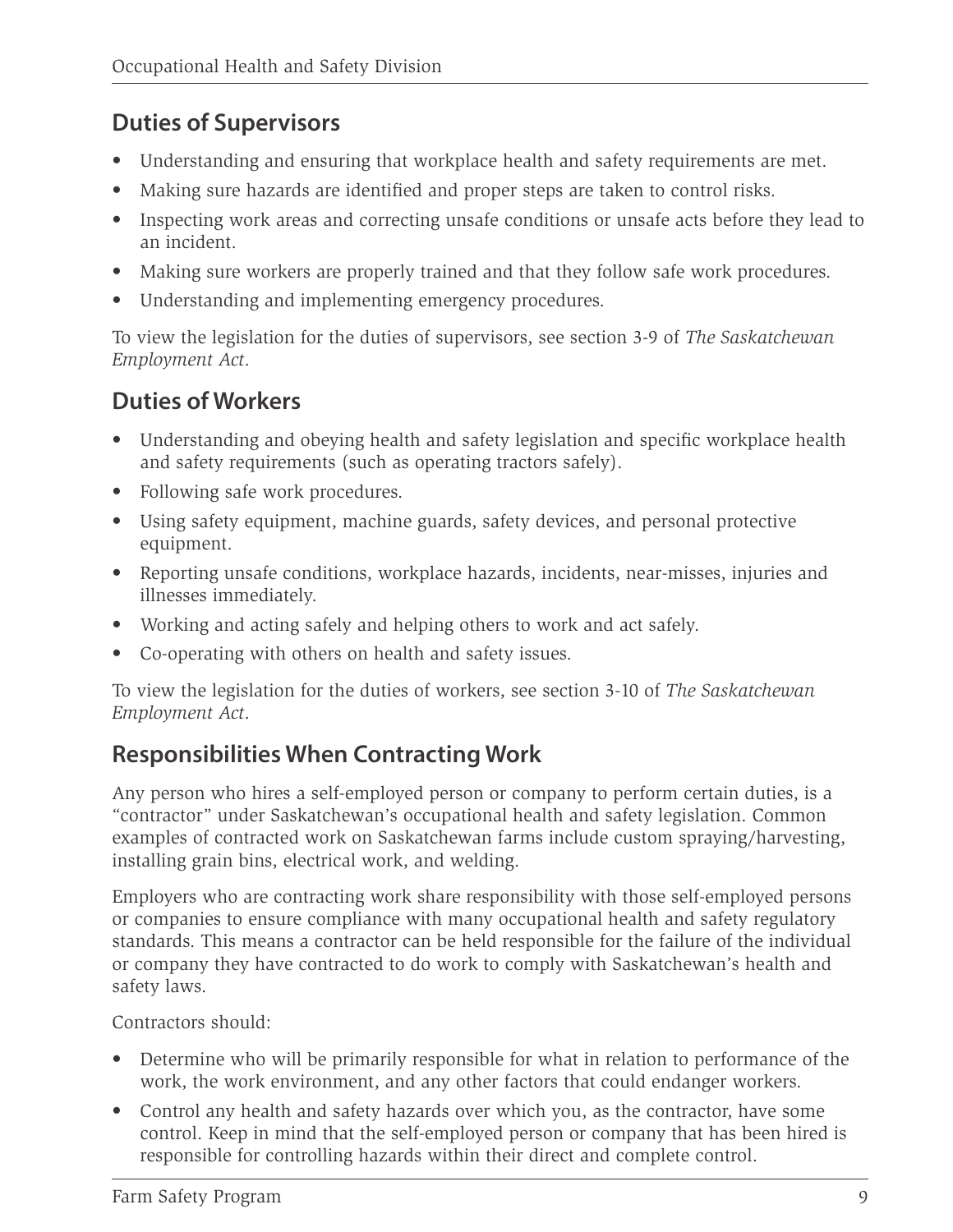### **Duties of Supervisors**

- Understanding and ensuring that workplace health and safety requirements are met.
- Making sure hazards are identified and proper steps are taken to control risks.
- Inspecting work areas and correcting unsafe conditions or unsafe acts before they lead to an incident.
- Making sure workers are properly trained and that they follow safe work procedures.
- Understanding and implementing emergency procedures.

To view the legislation for the duties of supervisors, see section 3-9 of *The Saskatchewan Employment Act*.

## **Duties of Workers**

- Understanding and obeying health and safety legislation and specific workplace health and safety requirements (such as operating tractors safely).
- Following safe work procedures.
- Using safety equipment, machine guards, safety devices, and personal protective equipment.
- Reporting unsafe conditions, workplace hazards, incidents, near-misses, injuries and illnesses immediately.
- Working and acting safely and helping others to work and act safely.
- Co-operating with others on health and safety issues.

To view the legislation for the duties of workers, see section 3-10 of *The Saskatchewan Employment Act*.

## **Responsibilities When Contracting Work**

Any person who hires a self-employed person or company to perform certain duties, is a "contractor" under Saskatchewan's occupational health and safety legislation. Common examples of contracted work on Saskatchewan farms include custom spraying/harvesting, installing grain bins, electrical work, and welding.

Employers who are contracting work share responsibility with those self-employed persons or companies to ensure compliance with many occupational health and safety regulatory standards. This means a contractor can be held responsible for the failure of the individual or company they have contracted to do work to comply with Saskatchewan's health and safety laws.

Contractors should:

- Determine who will be primarily responsible for what in relation to performance of the work, the work environment, and any other factors that could endanger workers.
- Control any health and safety hazards over which you, as the contractor, have some control. Keep in mind that the self-employed person or company that has been hired is responsible for controlling hazards within their direct and complete control.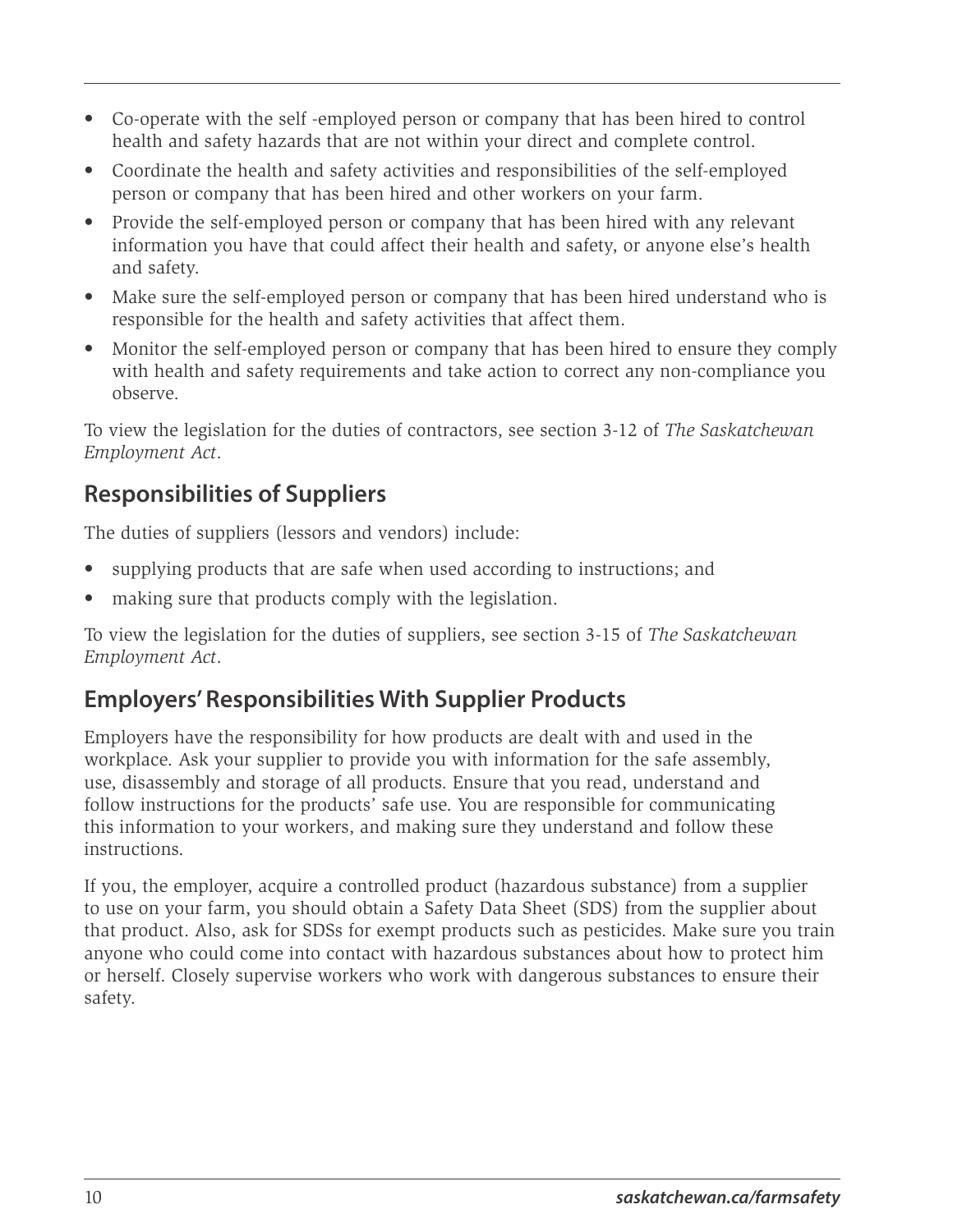- Co-operate with the self -employed person or company that has been hired to control health and safety hazards that are not within your direct and complete control.
- Coordinate the health and safety activities and responsibilities of the self-employed person or company that has been hired and other workers on your farm.
- Provide the self-employed person or company that has been hired with any relevant information you have that could affect their health and safety, or anyone else's health and safety.
- Make sure the self-employed person or company that has been hired understand who is responsible for the health and safety activities that affect them.
- Monitor the self-employed person or company that has been hired to ensure they comply with health and safety requirements and take action to correct any non-compliance you observe.

To view the legislation for the duties of contractors, see section 3-12 of *The Saskatchewan Employment Act*.

## **Responsibilities of Suppliers**

The duties of suppliers (lessors and vendors) include:

- supplying products that are safe when used according to instructions; and
- making sure that products comply with the legislation.

To view the legislation for the duties of suppliers, see section 3-15 of *The Saskatchewan Employment Act*.

### **Employers' Responsibilities With Supplier Products**

Employers have the responsibility for how products are dealt with and used in the workplace. Ask your supplier to provide you with information for the safe assembly, use, disassembly and storage of all products. Ensure that you read, understand and follow instructions for the products' safe use. You are responsible for communicating this information to your workers, and making sure they understand and follow these instructions.

If you, the employer, acquire a controlled product (hazardous substance) from a supplier to use on your farm, you should obtain a Safety Data Sheet (SDS) from the supplier about that product. Also, ask for SDSs for exempt products such as pesticides. Make sure you train anyone who could come into contact with hazardous substances about how to protect him or herself. Closely supervise workers who work with dangerous substances to ensure their safety.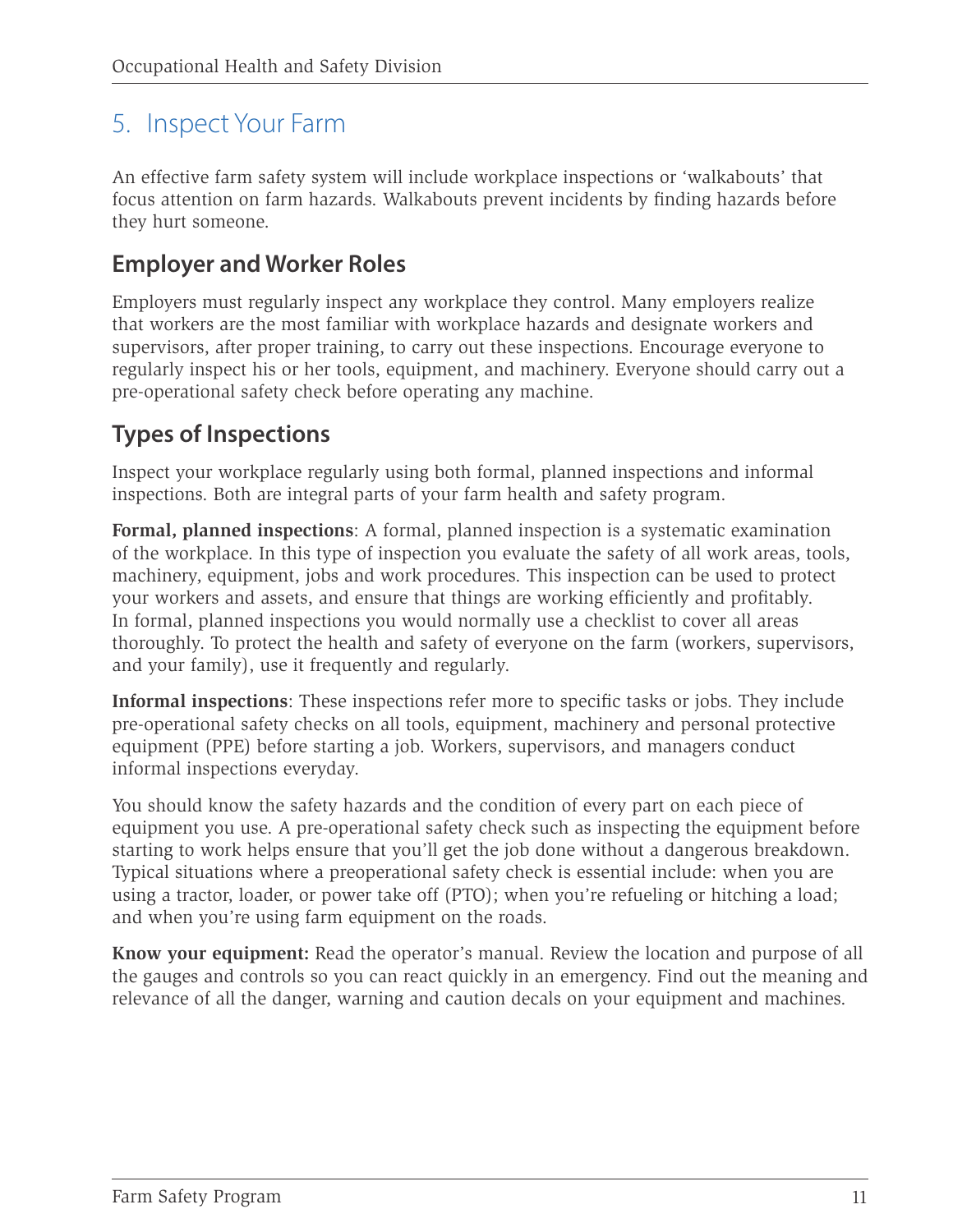## <span id="page-14-0"></span>5. Inspect Your Farm

An effective farm safety system will include workplace inspections or 'walkabouts' that focus attention on farm hazards. Walkabouts prevent incidents by finding hazards before they hurt someone.

#### **Employer and Worker Roles**

Employers must regularly inspect any workplace they control. Many employers realize that workers are the most familiar with workplace hazards and designate workers and supervisors, after proper training, to carry out these inspections. Encourage everyone to regularly inspect his or her tools, equipment, and machinery. Everyone should carry out a pre-operational safety check before operating any machine.

#### **Types of Inspections**

Inspect your workplace regularly using both formal, planned inspections and informal inspections. Both are integral parts of your farm health and safety program.

**Formal, planned inspections**: A formal, planned inspection is a systematic examination of the workplace. In this type of inspection you evaluate the safety of all work areas, tools, machinery, equipment, jobs and work procedures. This inspection can be used to protect your workers and assets, and ensure that things are working efficiently and profitably. In formal, planned inspections you would normally use a checklist to cover all areas thoroughly. To protect the health and safety of everyone on the farm (workers, supervisors, and your family), use it frequently and regularly.

**Informal inspections**: These inspections refer more to specific tasks or jobs. They include pre-operational safety checks on all tools, equipment, machinery and personal protective equipment (PPE) before starting a job. Workers, supervisors, and managers conduct informal inspections everyday.

You should know the safety hazards and the condition of every part on each piece of equipment you use. A pre-operational safety check such as inspecting the equipment before starting to work helps ensure that you'll get the job done without a dangerous breakdown. Typical situations where a preoperational safety check is essential include: when you are using a tractor, loader, or power take off (PTO); when you're refueling or hitching a load; and when you're using farm equipment on the roads.

**Know your equipment:** Read the operator's manual. Review the location and purpose of all the gauges and controls so you can react quickly in an emergency. Find out the meaning and relevance of all the danger, warning and caution decals on your equipment and machines.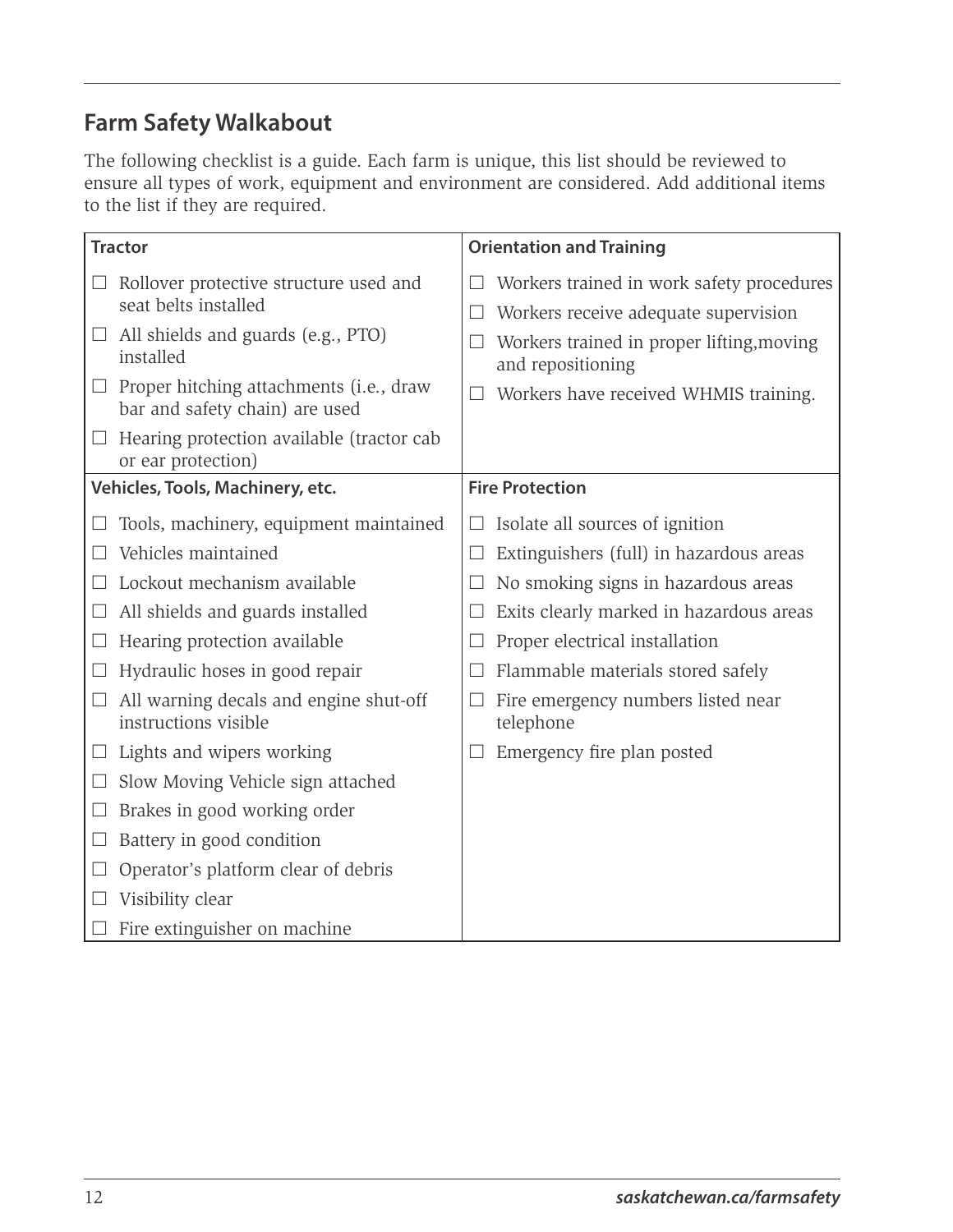### **Farm Safety Walkabout**

The following checklist is a guide. Each farm is unique, this list should be reviewed to ensure all types of work, equipment and environment are considered. Add additional items to the list if they are required.

| <b>Tractor</b>                                                                   | <b>Orientation and Training</b>                                                   |
|----------------------------------------------------------------------------------|-----------------------------------------------------------------------------------|
| Rollover protective structure used and<br>$\sqcup$<br>seat belts installed       | Workers trained in work safety procedures<br>Workers receive adequate supervision |
| $\Box$ All shields and guards (e.g., PTO)<br>installed                           | Workers trained in proper lifting, moving<br>and repositioning                    |
| $\Box$ Proper hitching attachments (i.e., draw<br>bar and safety chain) are used | Workers have received WHMIS training.                                             |
| Hearing protection available (tractor cab<br>$\Box$<br>or ear protection)        |                                                                                   |
| Vehicles, Tools, Machinery, etc.                                                 | <b>Fire Protection</b>                                                            |
| Tools, machinery, equipment maintained                                           | Isolate all sources of ignition                                                   |
| Vehicles maintained                                                              | Extinguishers (full) in hazardous areas                                           |
| Lockout mechanism available                                                      | No smoking signs in hazardous areas                                               |
| All shields and guards installed                                                 | Exits clearly marked in hazardous areas                                           |
| Hearing protection available                                                     | Proper electrical installation                                                    |
| Hydraulic hoses in good repair                                                   | Flammable materials stored safely                                                 |
| All warning decals and engine shut-off<br>instructions visible                   | Fire emergency numbers listed near<br>telephone                                   |
| $\Box$ Lights and wipers working                                                 | Emergency fire plan posted                                                        |
| Slow Moving Vehicle sign attached<br>$\Box$                                      |                                                                                   |
| Brakes in good working order<br>$\Box$                                           |                                                                                   |
| Battery in good condition<br>$\sqcup$                                            |                                                                                   |
| Operator's platform clear of debris                                              |                                                                                   |
| Visibility clear                                                                 |                                                                                   |
| Fire extinguisher on machine                                                     |                                                                                   |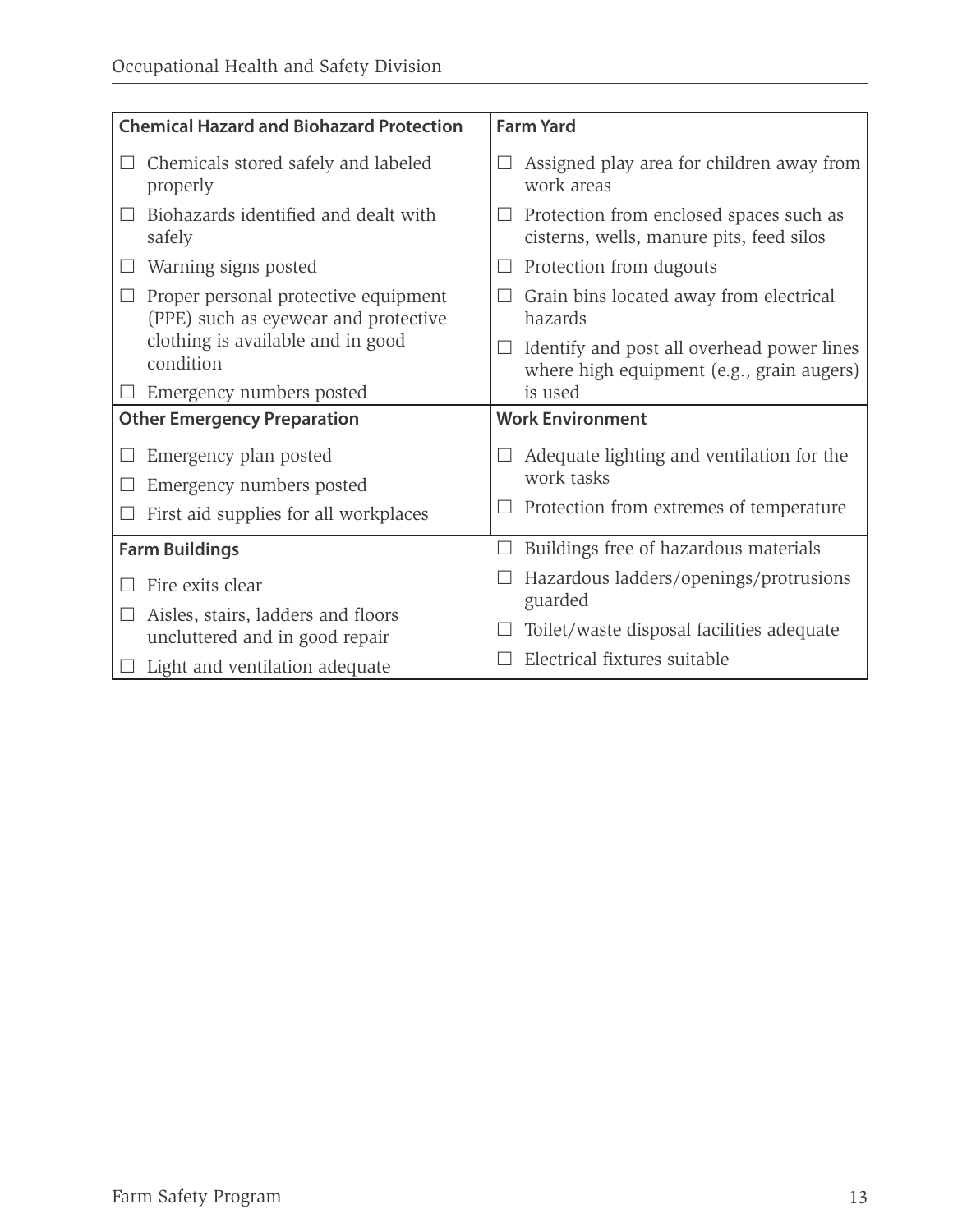| <b>Chemical Hazard and Biohazard Protection</b>                              | <b>Farm Yard</b>                                                                        |  |
|------------------------------------------------------------------------------|-----------------------------------------------------------------------------------------|--|
| Chemicals stored safely and labeled<br>properly                              | Assigned play area for children away from<br>work areas                                 |  |
| Biohazards identified and dealt with<br>$\Box$<br>safely                     | Protection from enclosed spaces such as<br>cisterns, wells, manure pits, feed silos     |  |
| Warning signs posted                                                         | Protection from dugouts                                                                 |  |
| Proper personal protective equipment<br>(PPE) such as eyewear and protective | Grain bins located away from electrical<br>hazards                                      |  |
| clothing is available and in good<br>condition                               | Identify and post all overhead power lines<br>where high equipment (e.g., grain augers) |  |
| Emergency numbers posted                                                     | is used                                                                                 |  |
| <b>Other Emergency Preparation</b>                                           | <b>Work Environment</b>                                                                 |  |
| Emergency plan posted                                                        | Adequate lighting and ventilation for the                                               |  |
| Emergency numbers posted                                                     | work tasks                                                                              |  |
| First aid supplies for all workplaces                                        | Protection from extremes of temperature                                                 |  |
| <b>Farm Buildings</b>                                                        | Buildings free of hazardous materials                                                   |  |
| Fire exits clear                                                             | Hazardous ladders/openings/protrusions<br>guarded                                       |  |
| Aisles, stairs, ladders and floors<br>uncluttered and in good repair         | Toilet/waste disposal facilities adequate                                               |  |
| Light and ventilation adequate                                               | Electrical fixtures suitable                                                            |  |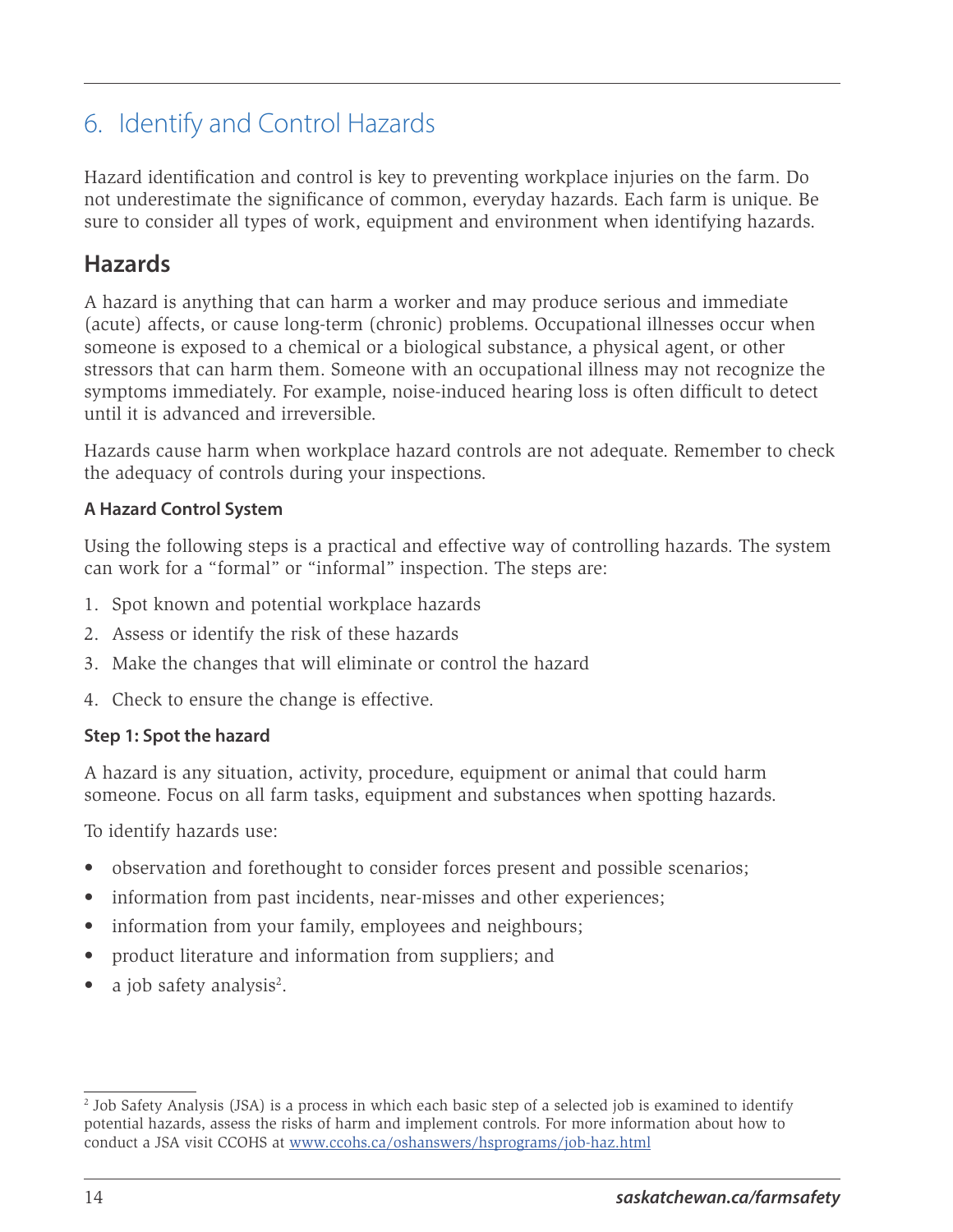# <span id="page-17-0"></span>6. Identify and Control Hazards

Hazard identification and control is key to preventing workplace injuries on the farm. Do not underestimate the significance of common, everyday hazards. Each farm is unique. Be sure to consider all types of work, equipment and environment when identifying hazards.

#### **Hazards**

A hazard is anything that can harm a worker and may produce serious and immediate (acute) affects, or cause long-term (chronic) problems. Occupational illnesses occur when someone is exposed to a chemical or a biological substance, a physical agent, or other stressors that can harm them. Someone with an occupational illness may not recognize the symptoms immediately. For example, noise-induced hearing loss is often difficult to detect until it is advanced and irreversible.

Hazards cause harm when workplace hazard controls are not adequate. Remember to check the adequacy of controls during your inspections.

#### **A Hazard Control System**

Using the following steps is a practical and effective way of controlling hazards. The system can work for a "formal" or "informal" inspection. The steps are:

- 1. Spot known and potential workplace hazards
- 2. Assess or identify the risk of these hazards
- 3. Make the changes that will eliminate or control the hazard
- 4. Check to ensure the change is effective.

#### **Step 1: Spot the hazard**

A hazard is any situation, activity, procedure, equipment or animal that could harm someone. Focus on all farm tasks, equipment and substances when spotting hazards.

To identify hazards use:

- observation and forethought to consider forces present and possible scenarios;
- information from past incidents, near-misses and other experiences;
- information from your family, employees and neighbours;
- product literature and information from suppliers; and
- a job safety analysis<sup>2</sup>.

<sup>2</sup> Job Safety Analysis (JSA) is a process in which each basic step of a selected job is examined to identify potential hazards, assess the risks of harm and implement controls. For more information about how to conduct a JSA visit CCOHS at [www.ccohs.ca/oshanswers/hsprograms/job-haz.html](http://www.ccohs.ca/oshanswers/hsprograms/job-haz.html)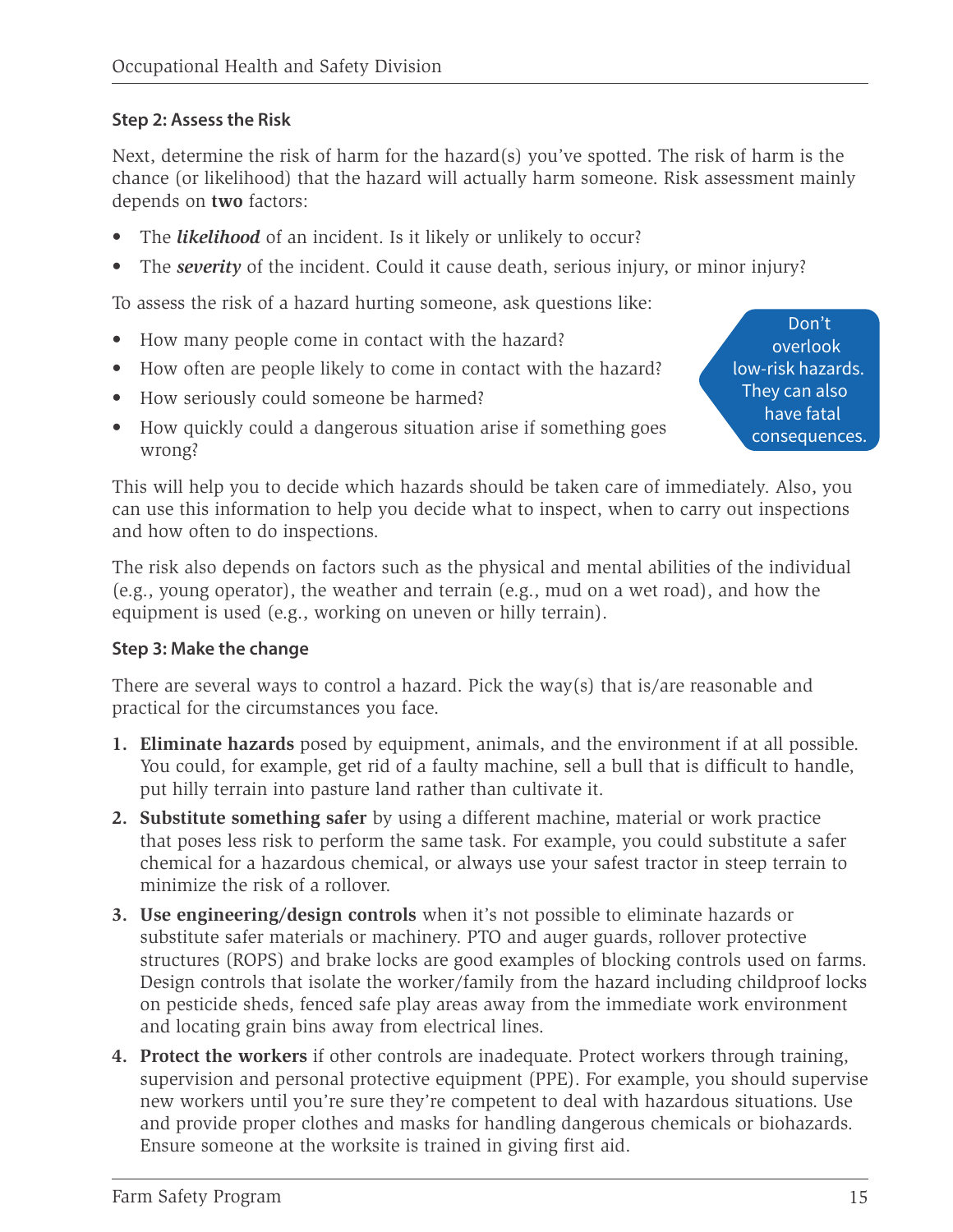#### **Step 2: Assess the Risk**

Next, determine the risk of harm for the hazard(s) you've spotted. The risk of harm is the chance (or likelihood) that the hazard will actually harm someone. Risk assessment mainly depends on **two** factors:

- The *likelihood* of an incident. Is it likely or unlikely to occur?
- The *severity* of the incident. Could it cause death, serious injury, or minor injury?

To assess the risk of a hazard hurting someone, ask questions like:

- How many people come in contact with the hazard?
- How often are people likely to come in contact with the hazard?
- How seriously could someone be harmed?
- How quickly could a dangerous situation arise if something goes wrong?

This will help you to decide which hazards should be taken care of immediately. Also, you can use this information to help you decide what to inspect, when to carry out inspections and how often to do inspections.

The risk also depends on factors such as the physical and mental abilities of the individual (e.g., young operator), the weather and terrain (e.g., mud on a wet road), and how the equipment is used (e.g., working on uneven or hilly terrain).

#### **Step 3: Make the change**

There are several ways to control a hazard. Pick the way(s) that is/are reasonable and practical for the circumstances you face.

- **1. Eliminate hazards** posed by equipment, animals, and the environment if at all possible. You could, for example, get rid of a faulty machine, sell a bull that is difficult to handle, put hilly terrain into pasture land rather than cultivate it.
- **2. Substitute something safer** by using a different machine, material or work practice that poses less risk to perform the same task. For example, you could substitute a safer chemical for a hazardous chemical, or always use your safest tractor in steep terrain to minimize the risk of a rollover.
- **3. Use engineering/design controls** when it's not possible to eliminate hazards or substitute safer materials or machinery. PTO and auger guards, rollover protective structures (ROPS) and brake locks are good examples of blocking controls used on farms. Design controls that isolate the worker/family from the hazard including childproof locks on pesticide sheds, fenced safe play areas away from the immediate work environment and locating grain bins away from electrical lines.
- **4. Protect the workers** if other controls are inadequate. Protect workers through training, supervision and personal protective equipment (PPE). For example, you should supervise new workers until you're sure they're competent to deal with hazardous situations. Use and provide proper clothes and masks for handling dangerous chemicals or biohazards. Ensure someone at the worksite is trained in giving first aid.

Don't overlook low-risk hazards. They can also have fatal consequences.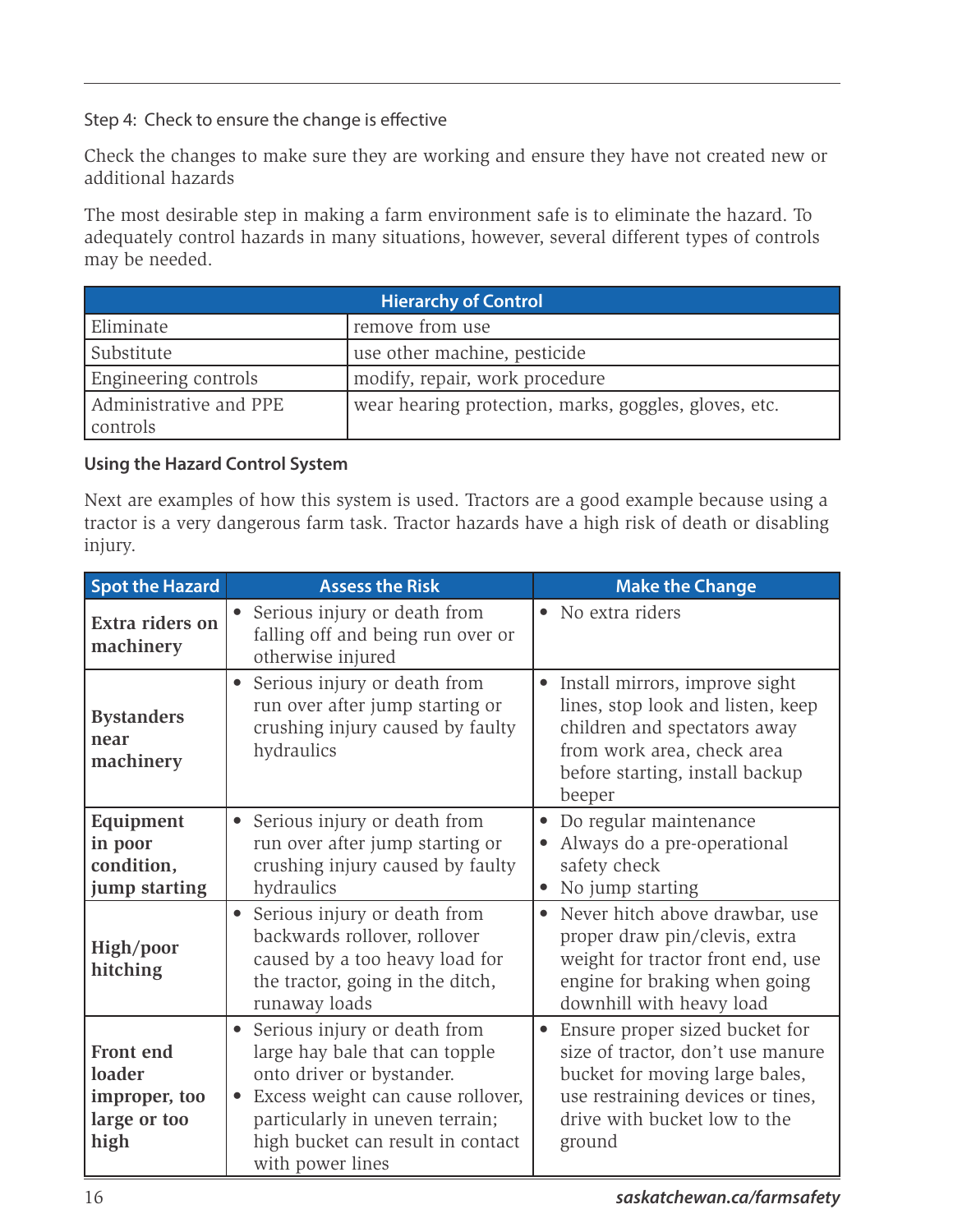Step 4: Check to ensure the change is effective

Check the changes to make sure they are working and ensure they have not created new or additional hazards

The most desirable step in making a farm environment safe is to eliminate the hazard. To adequately control hazards in many situations, however, several different types of controls may be needed.

| <b>Hierarchy of Control</b>        |                                                       |  |
|------------------------------------|-------------------------------------------------------|--|
| Eliminate                          | remove from use                                       |  |
| Substitute                         | use other machine, pesticide                          |  |
| Engineering controls               | modify, repair, work procedure                        |  |
| Administrative and PPE<br>controls | wear hearing protection, marks, goggles, gloves, etc. |  |

#### **Using the Hazard Control System**

Next are examples of how this system is used. Tractors are a good example because using a tractor is a very dangerous farm task. Tractor hazards have a high risk of death or disabling injury.

| <b>Spot the Hazard</b>                                       | <b>Assess the Risk</b>                                                                                                                                                                                                                                 | <b>Make the Change</b>                                                                                                                                                                            |
|--------------------------------------------------------------|--------------------------------------------------------------------------------------------------------------------------------------------------------------------------------------------------------------------------------------------------------|---------------------------------------------------------------------------------------------------------------------------------------------------------------------------------------------------|
| Extra riders on<br>machinery                                 | Serious injury or death from<br>falling off and being run over or<br>otherwise injured                                                                                                                                                                 | No extra riders<br>$\bullet$                                                                                                                                                                      |
| <b>Bystanders</b><br>near<br>machinery                       | Serious injury or death from<br>run over after jump starting or<br>crushing injury caused by faulty<br>hydraulics                                                                                                                                      | Install mirrors, improve sight<br>$\bullet$<br>lines, stop look and listen, keep<br>children and spectators away<br>from work area, check area<br>before starting, install backup<br>beeper       |
| Equipment<br>in poor<br>condition,<br>jump starting          | Serious injury or death from<br>$\bullet$<br>run over after jump starting or<br>crushing injury caused by faulty<br>hydraulics                                                                                                                         | Do regular maintenance<br>$\bullet$<br>Always do a pre-operational<br>safety check<br>No jump starting                                                                                            |
| High/poor<br>hitching                                        | Serious injury or death from<br>backwards rollover, rollover<br>caused by a too heavy load for<br>the tractor, going in the ditch,<br>runaway loads                                                                                                    | Never hitch above drawbar, use<br>$\bullet$<br>proper draw pin/clevis, extra<br>weight for tractor front end, use<br>engine for braking when going<br>downhill with heavy load                    |
| Front end<br>loader<br>improper, too<br>large or too<br>high | Serious injury or death from<br>$\bullet$<br>large hay bale that can topple<br>onto driver or bystander.<br>Excess weight can cause rollover,<br>$\bullet$<br>particularly in uneven terrain;<br>high bucket can result in contact<br>with power lines | Ensure proper sized bucket for<br>$\bullet$<br>size of tractor, don't use manure<br>bucket for moving large bales,<br>use restraining devices or tines,<br>drive with bucket low to the<br>ground |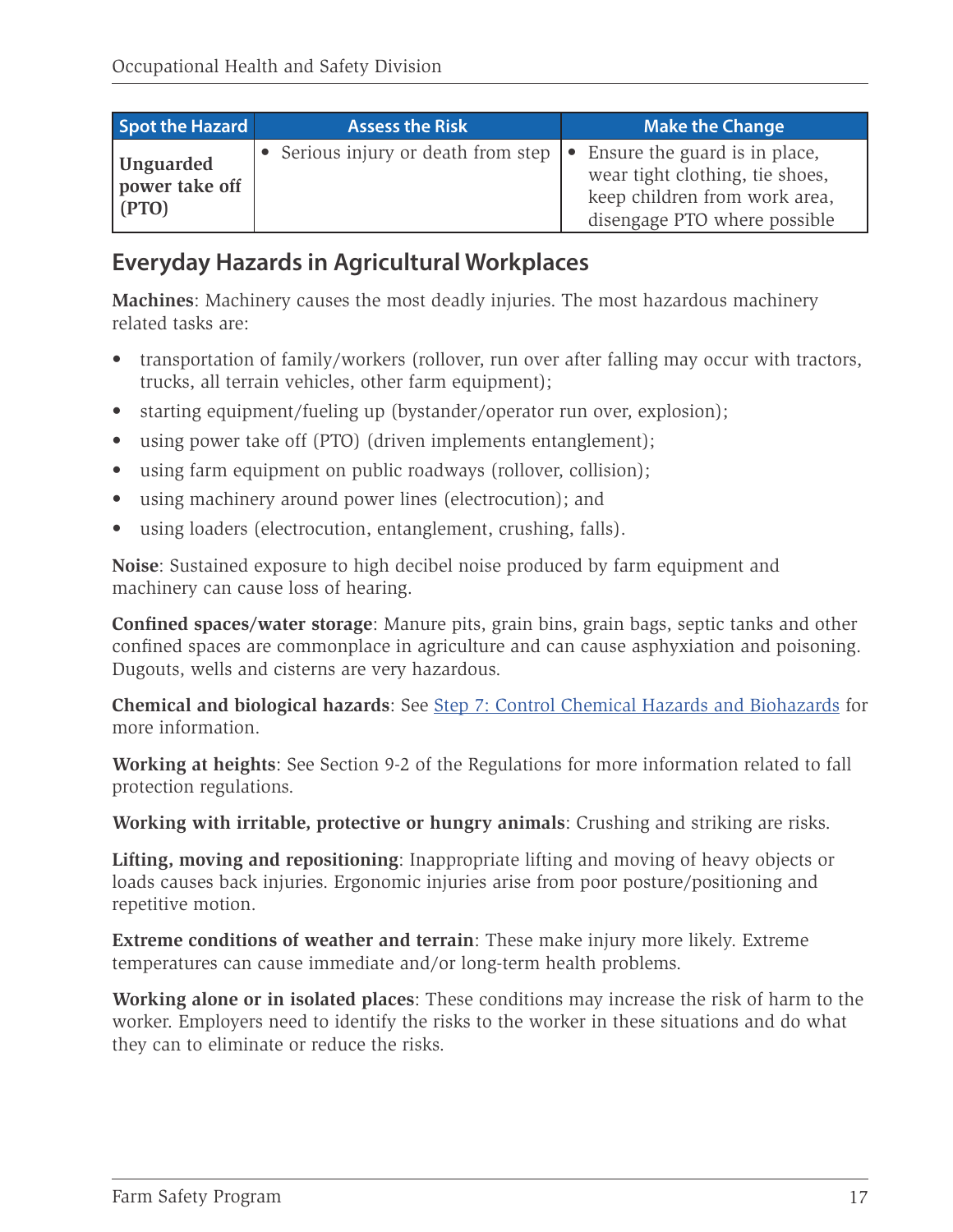| Spot the Hazard                             | <b>Assess the Risk</b>              | <b>Make the Change</b>                                                                                                                      |
|---------------------------------------------|-------------------------------------|---------------------------------------------------------------------------------------------------------------------------------------------|
| <b>Unguarded</b><br>power take off<br>[PTO] | • Serious injury or death from step | $\bullet$ Ensure the guard is in place,<br>wear tight clothing, tie shoes,<br>keep children from work area,<br>disengage PTO where possible |

#### **Everyday Hazards in Agricultural Workplaces**

**Machines**: Machinery causes the most deadly injuries. The most hazardous machinery related tasks are:

- transportation of family/workers (rollover, run over after falling may occur with tractors, trucks, all terrain vehicles, other farm equipment);
- starting equipment/fueling up (bystander/operator run over, explosion);
- using power take off (PTO) (driven implements entanglement);
- using farm equipment on public roadways (rollover, collision);
- using machinery around power lines (electrocution); and
- using loaders (electrocution, entanglement, crushing, falls).

**Noise**: Sustained exposure to high decibel noise produced by farm equipment and machinery can cause loss of hearing.

**Confined spaces/water storage**: Manure pits, grain bins, grain bags, septic tanks and other confined spaces are commonplace in agriculture and can cause asphyxiation and poisoning. Dugouts, wells and cisterns are very hazardous.

**Chemical and biological hazards**: See [Step 7: Control Chemical Hazards and Biohazards](#page-21-0) for more information.

**Working at heights**: See Section 9-2 of the Regulations for more information related to fall protection regulations.

**Working with irritable, protective or hungry animals**: Crushing and striking are risks.

**Lifting, moving and repositioning**: Inappropriate lifting and moving of heavy objects or loads causes back injuries. Ergonomic injuries arise from poor posture/positioning and repetitive motion.

**Extreme conditions of weather and terrain**: These make injury more likely. Extreme temperatures can cause immediate and/or long-term health problems.

**Working alone or in isolated places**: These conditions may increase the risk of harm to the worker. Employers need to identify the risks to the worker in these situations and do what they can to eliminate or reduce the risks.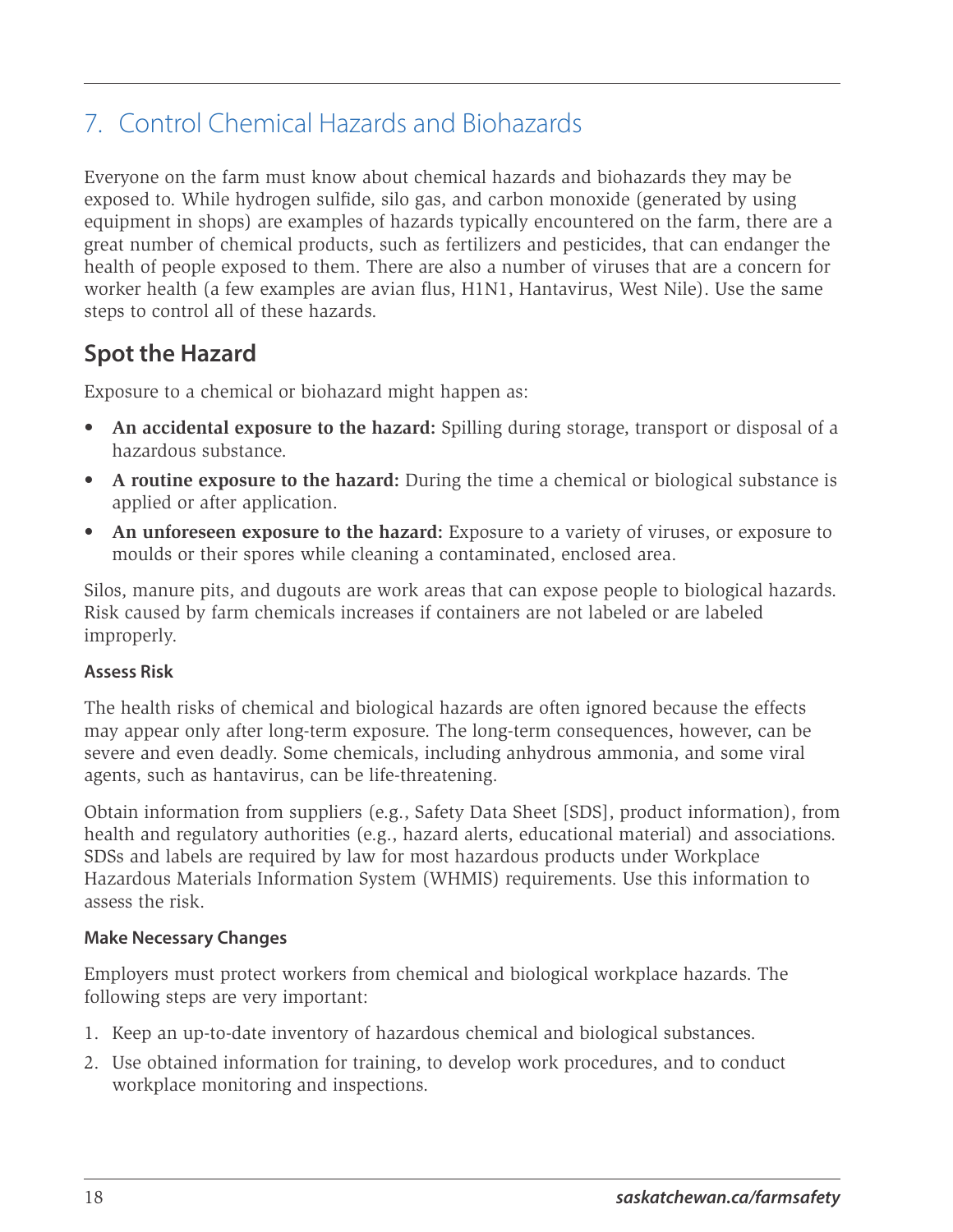# <span id="page-21-0"></span>7. Control Chemical Hazards and Biohazards

Everyone on the farm must know about chemical hazards and biohazards they may be exposed to. While hydrogen sulfide, silo gas, and carbon monoxide (generated by using equipment in shops) are examples of hazards typically encountered on the farm, there are a great number of chemical products, such as fertilizers and pesticides, that can endanger the health of people exposed to them. There are also a number of viruses that are a concern for worker health (a few examples are avian flus, H1N1, Hantavirus, West Nile). Use the same steps to control all of these hazards.

## **Spot the Hazard**

Exposure to a chemical or biohazard might happen as:

- **• An accidental exposure to the hazard:** Spilling during storage, transport or disposal of a hazardous substance.
- **• A routine exposure to the hazard:** During the time a chemical or biological substance is applied or after application.
- **• An unforeseen exposure to the hazard:** Exposure to a variety of viruses, or exposure to moulds or their spores while cleaning a contaminated, enclosed area.

Silos, manure pits, and dugouts are work areas that can expose people to biological hazards. Risk caused by farm chemicals increases if containers are not labeled or are labeled improperly.

#### **Assess Risk**

The health risks of chemical and biological hazards are often ignored because the effects may appear only after long-term exposure. The long-term consequences, however, can be severe and even deadly. Some chemicals, including anhydrous ammonia, and some viral agents, such as hantavirus, can be life-threatening.

Obtain information from suppliers (e.g., Safety Data Sheet [SDS], product information), from health and regulatory authorities (e.g., hazard alerts, educational material) and associations. SDSs and labels are required by law for most hazardous products under Workplace Hazardous Materials Information System (WHMIS) requirements. Use this information to assess the risk.

#### **Make Necessary Changes**

Employers must protect workers from chemical and biological workplace hazards. The following steps are very important:

- 1. Keep an up-to-date inventory of hazardous chemical and biological substances.
- 2. Use obtained information for training, to develop work procedures, and to conduct workplace monitoring and inspections.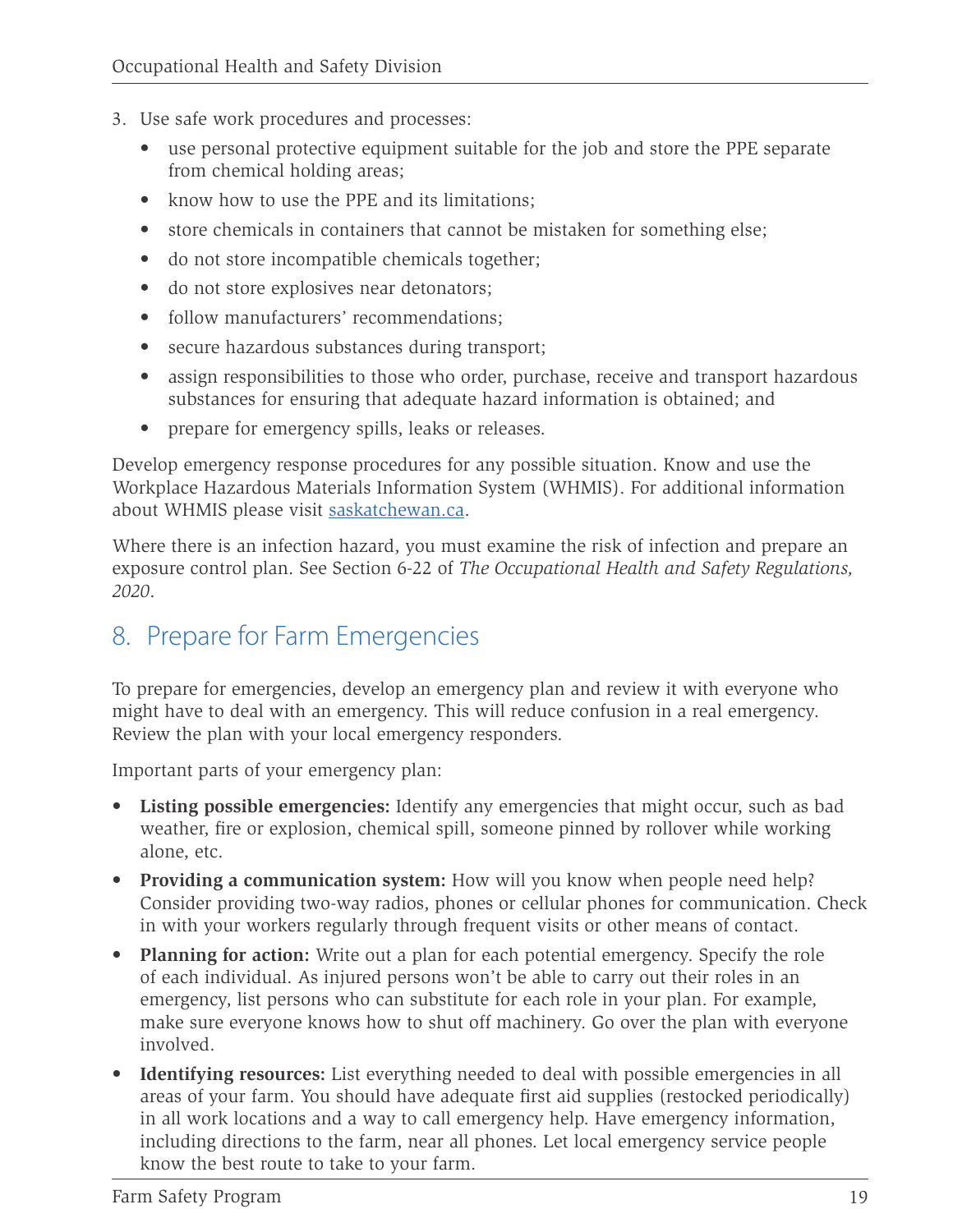- <span id="page-22-0"></span>3. Use safe work procedures and processes:
	- use personal protective equipment suitable for the job and store the PPE separate from chemical holding areas;
	- know how to use the PPE and its limitations:
	- store chemicals in containers that cannot be mistaken for something else;
	- do not store incompatible chemicals together;
	- do not store explosives near detonators;
	- follow manufacturers' recommendations:
	- secure hazardous substances during transport;
	- assign responsibilities to those who order, purchase, receive and transport hazardous substances for ensuring that adequate hazard information is obtained; and
	- prepare for emergency spills, leaks or releases.

Develop emergency response procedures for any possible situation. Know and use the Workplace Hazardous Materials Information System (WHMIS). For additional information about WHMIS please visit [saskatchewan.ca.](https://www.saskatchewan.ca/business/safety-in-the-workplace/hazards-and-prevention/workplace-hazardous-materials-information-system)

Where there is an infection hazard, you must examine the risk of infection and prepare an exposure control plan. See Section 6-22 of *The Occupational Health and Safety Regulations, 2020*.

### 8. Prepare for Farm Emergencies

To prepare for emergencies, develop an emergency plan and review it with everyone who might have to deal with an emergency. This will reduce confusion in a real emergency. Review the plan with your local emergency responders.

Important parts of your emergency plan:

- **• Listing possible emergencies:** Identify any emergencies that might occur, such as bad weather, fire or explosion, chemical spill, someone pinned by rollover while working alone, etc.
- **• Providing a communication system:** How will you know when people need help? Consider providing two-way radios, phones or cellular phones for communication. Check in with your workers regularly through frequent visits or other means of contact.
- **• Planning for action:** Write out a plan for each potential emergency. Specify the role of each individual. As injured persons won't be able to carry out their roles in an emergency, list persons who can substitute for each role in your plan. For example, make sure everyone knows how to shut off machinery. Go over the plan with everyone involved.
- **• Identifying resources:** List everything needed to deal with possible emergencies in all areas of your farm. You should have adequate first aid supplies (restocked periodically) in all work locations and a way to call emergency help. Have emergency information, including directions to the farm, near all phones. Let local emergency service people know the best route to take to your farm.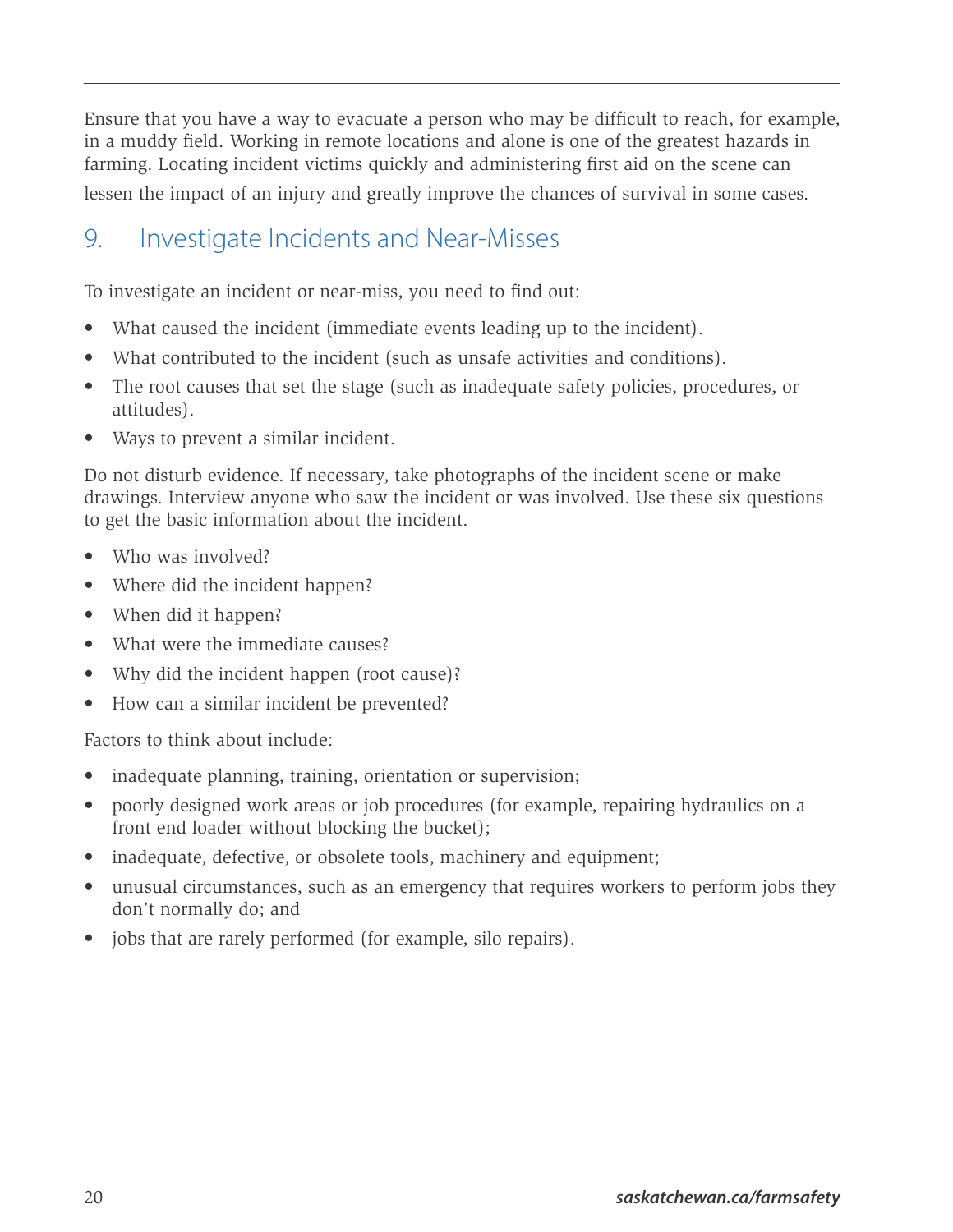<span id="page-23-0"></span>Ensure that you have a way to evacuate a person who may be difficult to reach, for example, in a muddy field. Working in remote locations and alone is one of the greatest hazards in farming. Locating incident victims quickly and administering first aid on the scene can

lessen the impact of an injury and greatly improve the chances of survival in some cases.

## 9. Investigate Incidents and Near-Misses

To investigate an incident or near-miss, you need to find out:

- What caused the incident (immediate events leading up to the incident).
- What contributed to the incident (such as unsafe activities and conditions).
- The root causes that set the stage (such as inadequate safety policies, procedures, or attitudes).
- Ways to prevent a similar incident.

Do not disturb evidence. If necessary, take photographs of the incident scene or make drawings. Interview anyone who saw the incident or was involved. Use these six questions to get the basic information about the incident.

- Who was involved?
- Where did the incident happen?
- When did it happen?
- What were the immediate causes?
- Why did the incident happen (root cause)?
- How can a similar incident be prevented?

Factors to think about include:

- inadequate planning, training, orientation or supervision;
- poorly designed work areas or job procedures (for example, repairing hydraulics on a front end loader without blocking the bucket);
- inadequate, defective, or obsolete tools, machinery and equipment;
- unusual circumstances, such as an emergency that requires workers to perform jobs they don't normally do; and
- jobs that are rarely performed (for example, silo repairs).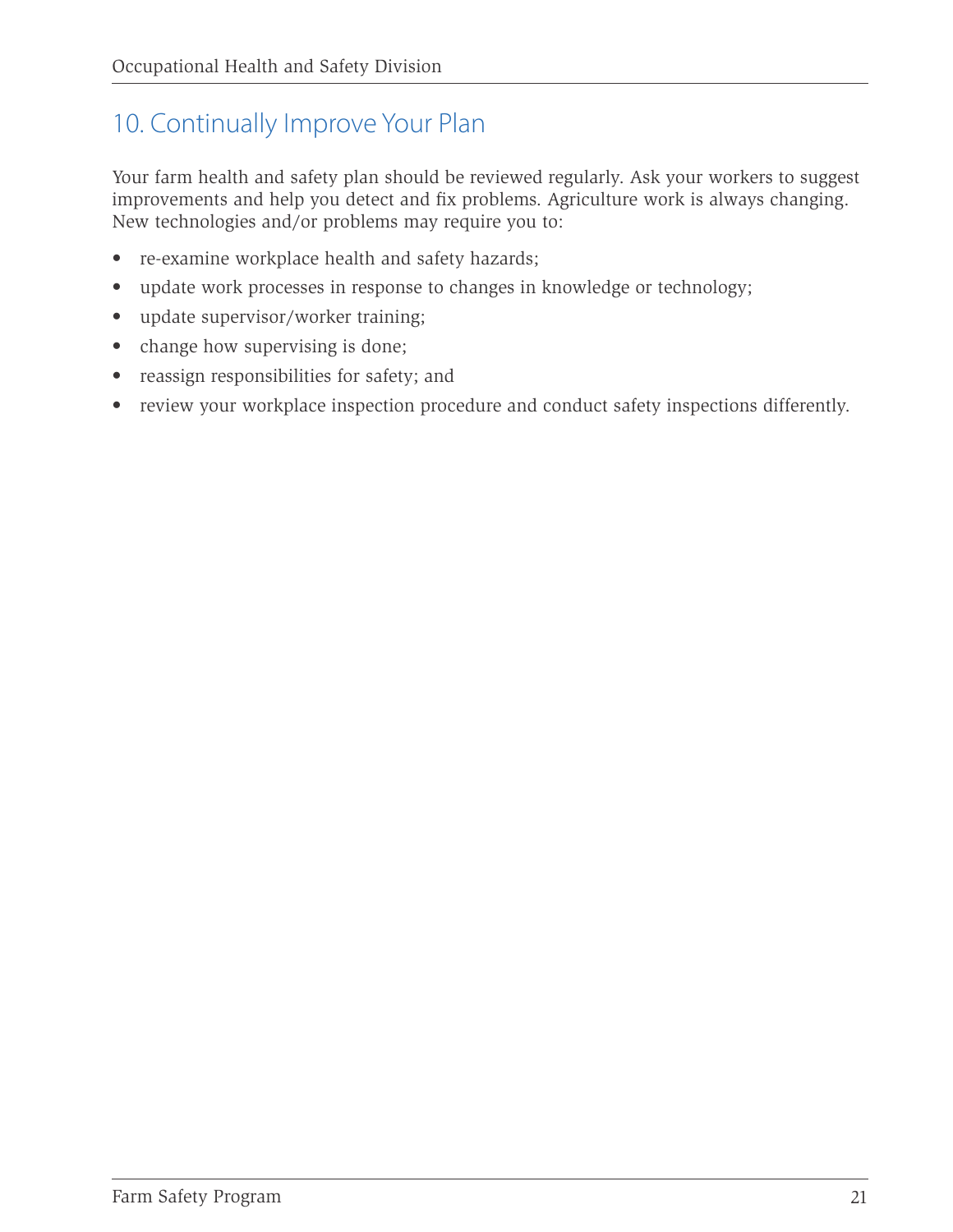# <span id="page-24-0"></span>10. Continually Improve Your Plan

Your farm health and safety plan should be reviewed regularly. Ask your workers to suggest improvements and help you detect and fix problems. Agriculture work is always changing. New technologies and/or problems may require you to:

- re-examine workplace health and safety hazards;
- update work processes in response to changes in knowledge or technology;
- update supervisor/worker training;
- change how supervising is done;
- reassign responsibilities for safety; and
- review your workplace inspection procedure and conduct safety inspections differently.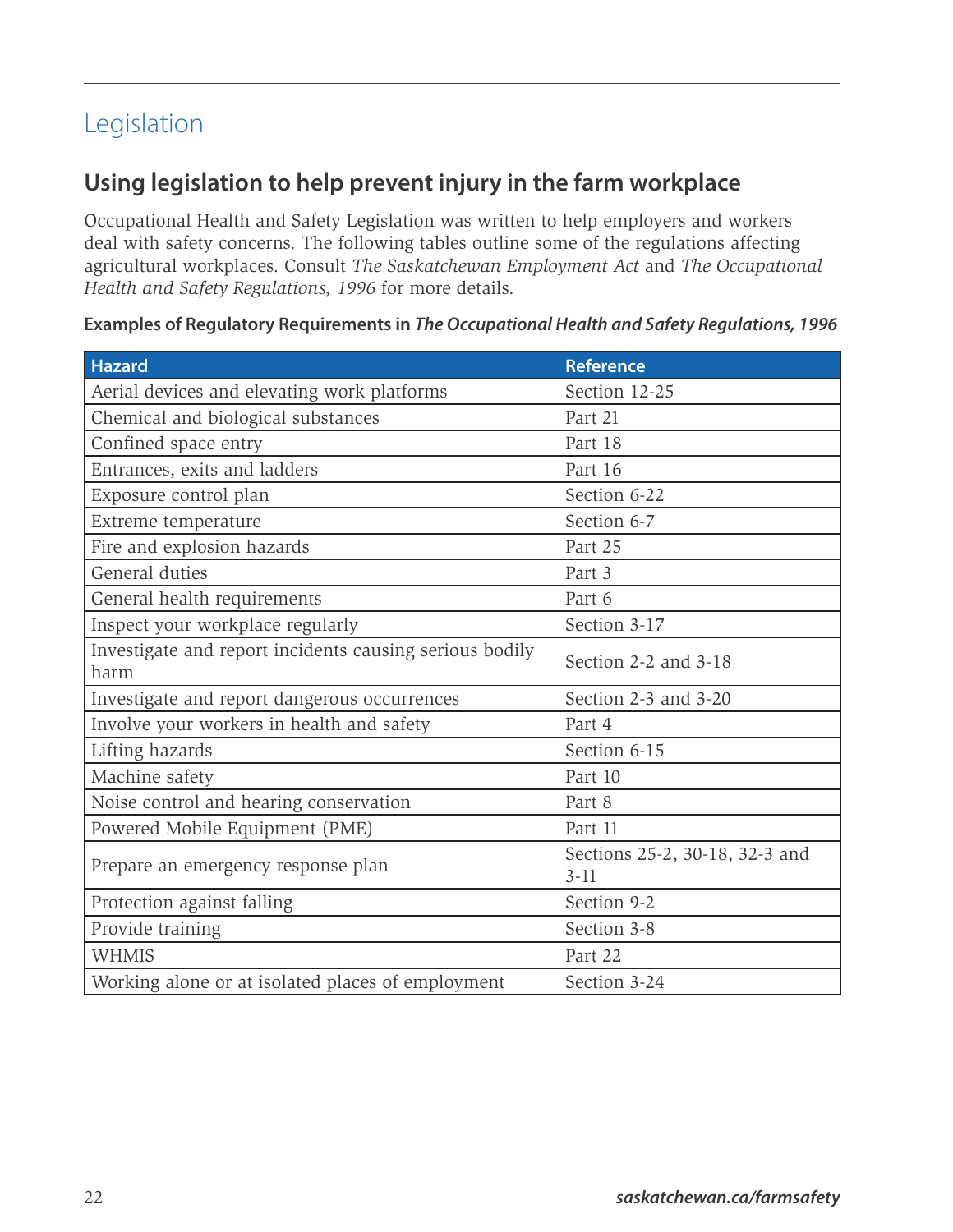# <span id="page-25-0"></span>Legislation

#### **Using legislation to help prevent injury in the farm workplace**

Occupational Health and Safety Legislation was written to help employers and workers deal with safety concerns. The following tables outline some of the regulations affecting agricultural workplaces. Consult *The Saskatchewan Employment Act* and *The Occupational Health and Safety Regulations, 1996* for more details.

| <b>Hazard</b>                                                   | <b>Reference</b>                           |
|-----------------------------------------------------------------|--------------------------------------------|
| Aerial devices and elevating work platforms                     | Section 12-25                              |
| Chemical and biological substances                              | Part 21                                    |
| Confined space entry                                            | Part 18                                    |
| Entrances, exits and ladders                                    | Part 16                                    |
| Exposure control plan                                           | Section 6-22                               |
| Extreme temperature                                             | Section 6-7                                |
| Fire and explosion hazards                                      | Part 25                                    |
| General duties                                                  | Part 3                                     |
| General health requirements                                     | Part 6                                     |
| Inspect your workplace regularly                                | Section 3-17                               |
| Investigate and report incidents causing serious bodily<br>harm | Section 2-2 and 3-18                       |
| Investigate and report dangerous occurrences                    | Section 2-3 and 3-20                       |
| Involve your workers in health and safety                       | Part 4                                     |
| Lifting hazards                                                 | Section 6-15                               |
| Machine safety                                                  | Part 10                                    |
| Noise control and hearing conservation                          | Part 8                                     |
| Powered Mobile Equipment (PME)                                  | Part 11                                    |
| Prepare an emergency response plan                              | Sections 25-2, 30-18, 32-3 and<br>$3 - 11$ |
| Protection against falling                                      | Section 9-2                                |
| Provide training                                                | Section 3-8                                |
| <b>WHMIS</b>                                                    | Part 22                                    |
| Working alone or at isolated places of employment               | Section 3-24                               |

#### **Examples of Regulatory Requirements in** *The Occupational Health and Safety Regulations, 1996*